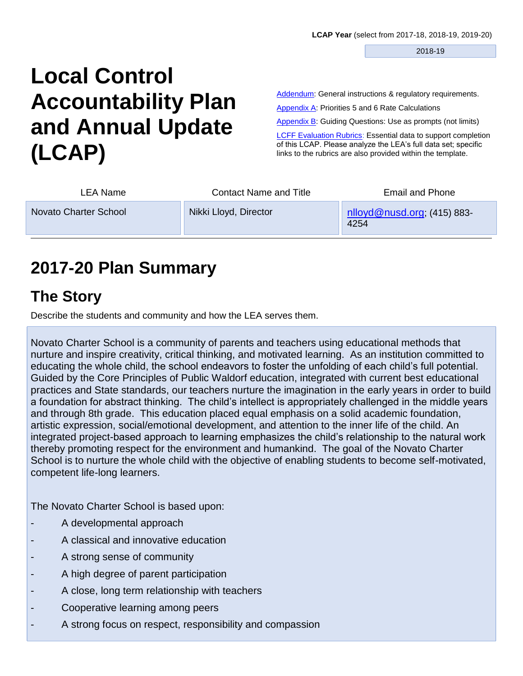2018-19

# **Local Control Accountability Plan and Annual Update (LCAP)**

[Addendum:](#page-45-0) General instructions & regulatory requirements.

Appendix A: Priorities 5 and 6 Rate Calculations

Appendix B: Guiding Questions: Use as prompts (not limits)

**[LCFF Evaluation Rubrics:](https://www.caschooldashboard.org/#/Home) Essential data to support completion** of this LCAP. Please analyze the LEA's full data set; specific links to the rubrics are also provided within the template.

| LEA Name              | <b>Contact Name and Title</b> | <b>Email and Phone</b>                 |
|-----------------------|-------------------------------|----------------------------------------|
| Novato Charter School | Nikki Lloyd, Director         | $n$ lloyd@nusd.org; (415) 883-<br>4254 |

# **2017-20 Plan Summary**

## **The Story**

Describe the students and community and how the LEA serves them.

Novato Charter School is a community of parents and teachers using educational methods that nurture and inspire creativity, critical thinking, and motivated learning. As an institution committed to educating the whole child, the school endeavors to foster the unfolding of each child's full potential. Guided by the Core Principles of Public Waldorf education, integrated with current best educational practices and State standards, our teachers nurture the imagination in the early years in order to build a foundation for abstract thinking. The child's intellect is appropriately challenged in the middle years and through 8th grade. This education placed equal emphasis on a solid academic foundation, artistic expression, social/emotional development, and attention to the inner life of the child. An integrated project-based approach to learning emphasizes the child's relationship to the natural work thereby promoting respect for the environment and humankind. The goal of the Novato Charter School is to nurture the whole child with the objective of enabling students to become self-motivated, competent life-long learners.

The Novato Charter School is based upon:

- A developmental approach
- A classical and innovative education
- A strong sense of community
- A high degree of parent participation
- A close, long term relationship with teachers
- Cooperative learning among peers
- A strong focus on respect, responsibility and compassion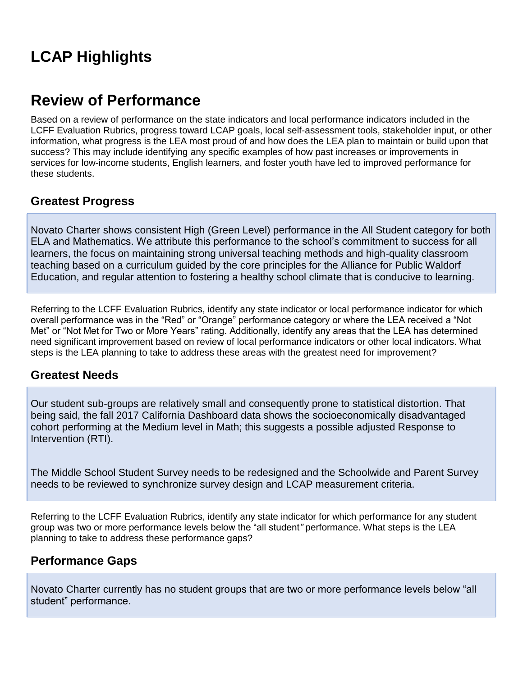# **LCAP Highlights**

## **Review of Performance**

Based on a review of performance on the state indicators and local performance indicators included in the LCFF Evaluation Rubrics, progress toward LCAP goals, local self-assessment tools, stakeholder input, or other information, what progress is the LEA most proud of and how does the LEA plan to maintain or build upon that success? This may include identifying any specific examples of how past increases or improvements in services for low-income students, English learners, and foster youth have led to improved performance for these students.

#### **Greatest Progress**

Novato Charter shows consistent High (Green Level) performance in the All Student category for both ELA and Mathematics. We attribute this performance to the school's commitment to success for all learners, the focus on maintaining strong universal teaching methods and high-quality classroom teaching based on a curriculum guided by the core principles for the Alliance for Public Waldorf Education, and regular attention to fostering a healthy school climate that is conducive to learning.

Referring to the LCFF Evaluation Rubrics, identify any state indicator or local performance indicator for which overall performance was in the "Red" or "Orange" performance category or where the LEA received a "Not Met" or "Not Met for Two or More Years" rating. Additionally, identify any areas that the LEA has determined need significant improvement based on review of local performance indicators or other local indicators. What steps is the LEA planning to take to address these areas with the greatest need for improvement?

#### **Greatest Needs**

Our student sub-groups are relatively small and consequently prone to statistical distortion. That being said, the fall 2017 California Dashboard data shows the socioeconomically disadvantaged cohort performing at the Medium level in Math; this suggests a possible adjusted Response to Intervention (RTI).

The Middle School Student Survey needs to be redesigned and the Schoolwide and Parent Survey needs to be reviewed to synchronize survey design and LCAP measurement criteria.

Referring to the LCFF Evaluation Rubrics, identify any state indicator for which performance for any student group was two or more performance levels below the "all student*"* performance. What steps is the LEA planning to take to address these performance gaps?

#### **Performance Gaps**

Novato Charter currently has no student groups that are two or more performance levels below "all student" performance.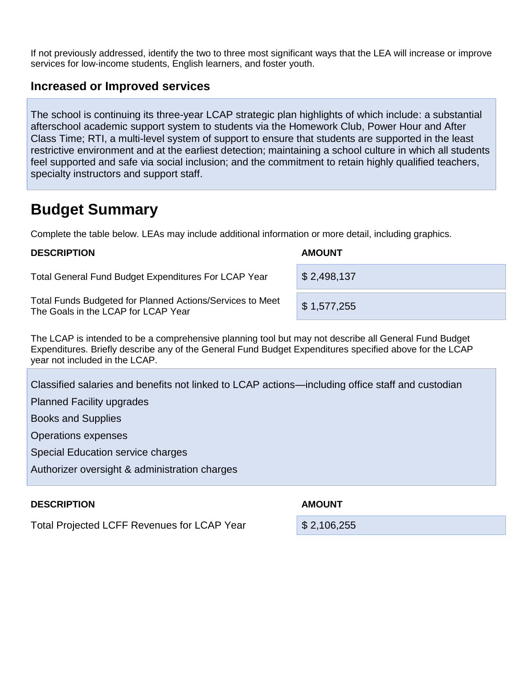If not previously addressed, identify the two to three most significant ways that the LEA will increase or improve services for low-income students, English learners, and foster youth.

#### **Increased or Improved services**

The school is continuing its three-year LCAP strategic plan highlights of which include: a substantial afterschool academic support system to students via the Homework Club, Power Hour and After Class Time; RTI, a multi-level system of support to ensure that students are supported in the least restrictive environment and at the earliest detection; maintaining a school culture in which all students feel supported and safe via social inclusion; and the commitment to retain highly qualified teachers, specialty instructors and support staff.

# **Budget Summary**

Complete the table below. LEAs may include additional information or more detail, including graphics.

#### **DESCRIPTION AMOUNT**

Total General Fund Budget Expenditures For LCAP Year \\$ 2,498,137

Total Funds Budgeted for Planned Actions/Services to Meet Total Turius Budgeted for Framed Actions/Services to Meet \$ 1,577,255

The LCAP is intended to be a comprehensive planning tool but may not describe all General Fund Budget Expenditures. Briefly describe any of the General Fund Budget Expenditures specified above for the LCAP year not included in the LCAP.

Classified salaries and benefits not linked to LCAP actions—including office staff and custodian

Planned Facility upgrades

Books and Supplies

Operations expenses

Special Education service charges

Authorizer oversight & administration charges

#### **DESCRIPTION AMOUNT**

Total Projected LCFF Revenues for LCAP Year **\$ 2,106,255**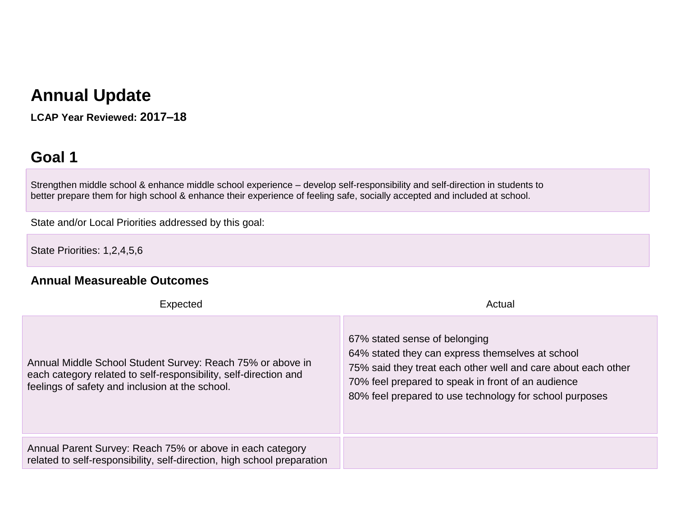# **Annual Update**

**LCAP Year Reviewed: 2017–18**

# **Goal 1**

Strengthen middle school & enhance middle school experience – develop self-responsibility and self-direction in students to better prepare them for high school & enhance their experience of feeling safe, socially accepted and included at school.

State and/or Local Priorities addressed by this goal:

State Priorities: 1,2,4,5,6

#### **Annual Measureable Outcomes**

| Expected                                                                                                                                                                          | Actual                                                                                                                                                                                                                                                              |
|-----------------------------------------------------------------------------------------------------------------------------------------------------------------------------------|---------------------------------------------------------------------------------------------------------------------------------------------------------------------------------------------------------------------------------------------------------------------|
| Annual Middle School Student Survey: Reach 75% or above in<br>each category related to self-responsibility, self-direction and<br>feelings of safety and inclusion at the school. | 67% stated sense of belonging<br>64% stated they can express themselves at school<br>75% said they treat each other well and care about each other<br>70% feel prepared to speak in front of an audience<br>80% feel prepared to use technology for school purposes |
| Annual Parent Survey: Reach 75% or above in each category<br>related to self-responsibility, self-direction, high school preparation                                              |                                                                                                                                                                                                                                                                     |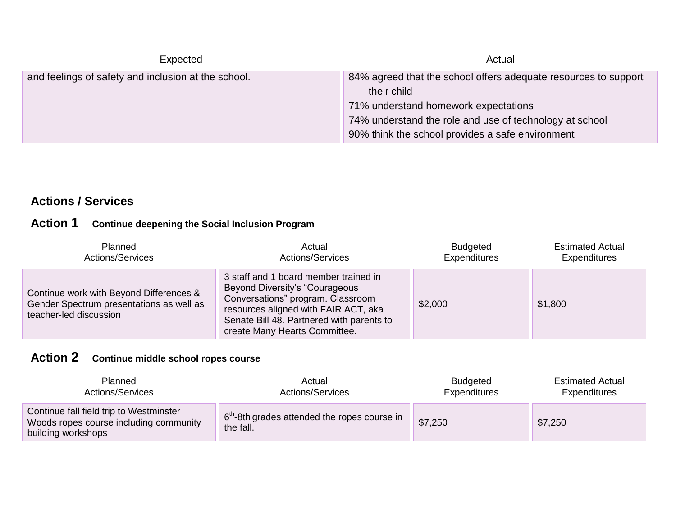| Expected                                            | Actual                                                                                                                                                                                                                                |
|-----------------------------------------------------|---------------------------------------------------------------------------------------------------------------------------------------------------------------------------------------------------------------------------------------|
| and feelings of safety and inclusion at the school. | 84% agreed that the school offers adequate resources to support<br>their child<br>71% understand homework expectations<br>74% understand the role and use of technology at school<br>90% think the school provides a safe environment |

### **Actions / Services**

### **Action 1 Continue deepening the Social Inclusion Program**

| Planned                                                                                                       | Actual                                                                                                                                                                                                                              | <b>Budgeted</b>     | <b>Estimated Actual</b> |
|---------------------------------------------------------------------------------------------------------------|-------------------------------------------------------------------------------------------------------------------------------------------------------------------------------------------------------------------------------------|---------------------|-------------------------|
| <b>Actions/Services</b>                                                                                       | <b>Actions/Services</b>                                                                                                                                                                                                             | <b>Expenditures</b> | <b>Expenditures</b>     |
| Continue work with Beyond Differences &<br>Gender Spectrum presentations as well as<br>teacher-led discussion | 3 staff and 1 board member trained in<br>Beyond Diversity's "Courageous"<br>Conversations" program. Classroom<br>resources aligned with FAIR ACT, aka<br>Senate Bill 48. Partnered with parents to<br>create Many Hearts Committee. | \$2,000             | \$1,800                 |

### **Action 2 Continue middle school ropes course**

| <b>Planned</b>                                                                                          | Actual                                                                | <b>Budgeted</b> | <b>Estimated Actual</b> |
|---------------------------------------------------------------------------------------------------------|-----------------------------------------------------------------------|-----------------|-------------------------|
| <b>Actions/Services</b>                                                                                 | <b>Actions/Services</b>                                               | Expenditures    | Expenditures            |
| Continue fall field trip to Westminster<br>Woods ropes course including community<br>building workshops | 6 <sup>th</sup> -8th grades attended the ropes course in<br>the fall. | \$7,250         | \$7,250                 |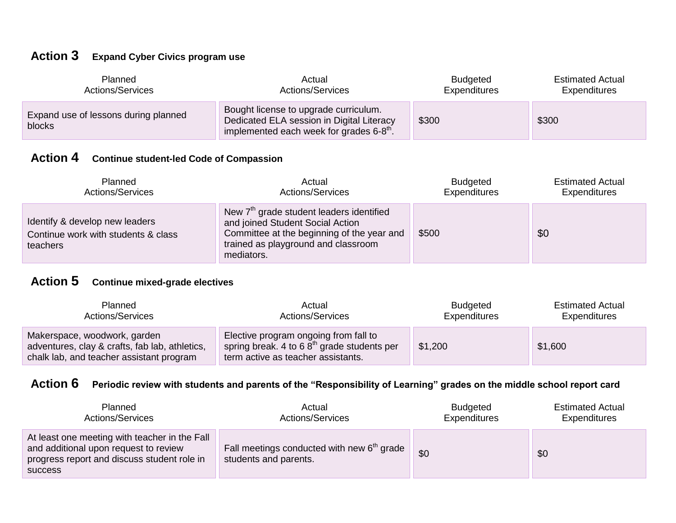### **Action 3 Expand Cyber Civics program use**

| <b>Planned</b>                                 | Actual                                                                                                                                         | <b>Budgeted</b> | <b>Estimated Actual</b> |
|------------------------------------------------|------------------------------------------------------------------------------------------------------------------------------------------------|-----------------|-------------------------|
| Actions/Services                               | <b>Actions/Services</b>                                                                                                                        | Expenditures    | Expenditures            |
| Expand use of lessons during planned<br>blocks | Bought license to upgrade curriculum.<br>Dedicated ELA session in Digital Literacy<br>implemented each week for grades $6 - 8$ <sup>th</sup> . | \$300           | \$300                   |

### **Action 4 Continue student-led Code of Compassion**

| Planned                                                                           | Actual                                                                                                                                                                                      | <b>Budgeted</b> | <b>Estimated Actual</b> |
|-----------------------------------------------------------------------------------|---------------------------------------------------------------------------------------------------------------------------------------------------------------------------------------------|-----------------|-------------------------|
| <b>Actions/Services</b>                                                           | <b>Actions/Services</b>                                                                                                                                                                     | Expenditures    | Expenditures            |
| Identify & develop new leaders<br>Continue work with students & class<br>teachers | New 7 <sup>th</sup> grade student leaders identified<br>and joined Student Social Action<br>Committee at the beginning of the year and<br>trained as playground and classroom<br>mediators. | \$500           | \$0                     |

### **Action 5 Continue mixed-grade electives**

| <b>Planned</b>                                                                                                             | Actual                                                                                                                       | <b>Budgeted</b> | <b>Estimated Actual</b> |
|----------------------------------------------------------------------------------------------------------------------------|------------------------------------------------------------------------------------------------------------------------------|-----------------|-------------------------|
| <b>Actions/Services</b>                                                                                                    | <b>Actions/Services</b>                                                                                                      | Expenditures    | Expenditures            |
| Makerspace, woodwork, garden<br>adventures, clay & crafts, fab lab, athletics,<br>chalk lab, and teacher assistant program | Elective program ongoing from fall to<br>spring break. 4 to 6 $8th$ grade students per<br>term active as teacher assistants. | \$1,200         | \$1,600                 |

### **Action 6 Periodic review with students and parents of the "Responsibility of Learning" grades on the middle school report card**

| Planned                                                                                                                                                 | Actual                                                                          | <b>Budgeted</b> | <b>Estimated Actual</b> |
|---------------------------------------------------------------------------------------------------------------------------------------------------------|---------------------------------------------------------------------------------|-----------------|-------------------------|
| <b>Actions/Services</b>                                                                                                                                 | <b>Actions/Services</b>                                                         | Expenditures    | Expenditures            |
| At least one meeting with teacher in the Fall<br>and additional upon request to review<br>progress report and discuss student role in<br><b>SUCCESS</b> | Fall meetings conducted with new 6 <sup>th</sup> grade<br>students and parents. | \$0             | \$0                     |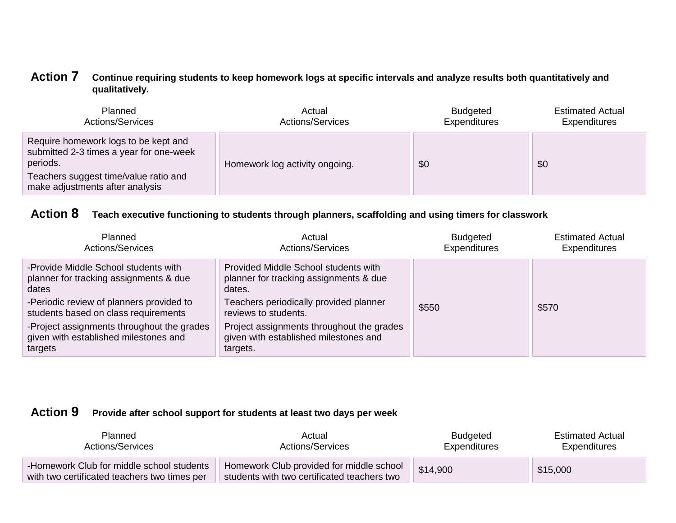#### **Action 7 Continue requiring students to keep homework logs at specific intervals and analyze results both quantitatively and qualitatively.**

| Planned                                                                                                                                                                 | Actual                         | <b>Budgeted</b> | <b>Estimated Actual</b> |
|-------------------------------------------------------------------------------------------------------------------------------------------------------------------------|--------------------------------|-----------------|-------------------------|
| <b>Actions/Services</b>                                                                                                                                                 | <b>Actions/Services</b>        | Expenditures    | <b>Expenditures</b>     |
| Require homework logs to be kept and<br>submitted 2-3 times a year for one-week<br>periods.<br>Teachers suggest time/value ratio and<br>make adjustments after analysis | Homework log activity ongoing. | \$0             | \$0                     |

### **Action 8 Teach executive functioning to students through planners, scaffolding and using timers for classwork**

| <b>Planned</b><br><b>Actions/Services</b>                                                                                                                                   | Actual<br><b>Actions/Services</b>                                                                                                                          | <b>Budgeted</b><br><b>Expenditures</b> | <b>Estimated Actual</b><br><b>Expenditures</b> |
|-----------------------------------------------------------------------------------------------------------------------------------------------------------------------------|------------------------------------------------------------------------------------------------------------------------------------------------------------|----------------------------------------|------------------------------------------------|
| -Provide Middle School students with<br>planner for tracking assignments & due<br>dates<br>-Periodic review of planners provided to<br>students based on class requirements | Provided Middle School students with<br>planner for tracking assignments & due<br>dates.<br>Teachers periodically provided planner<br>reviews to students. | \$550                                  | \$570                                          |
| -Project assignments throughout the grades<br>given with established milestones and<br>targets                                                                              | Project assignments throughout the grades<br>given with established milestones and<br>targets.                                                             |                                        |                                                |

### **Action 9 Provide after school support for students at least two days per week**

| <b>Planned</b>                                                                            | Actual                                                                                  | <b>Budgeted</b> | <b>Estimated Actual</b> |
|-------------------------------------------------------------------------------------------|-----------------------------------------------------------------------------------------|-----------------|-------------------------|
| Actions/Services                                                                          | Actions/Services                                                                        | Expenditures    | Expenditures            |
| -Homework Club for middle school students<br>with two certificated teachers two times per | Homework Club provided for middle school<br>students with two certificated teachers two | \$14,900        | \$15,000                |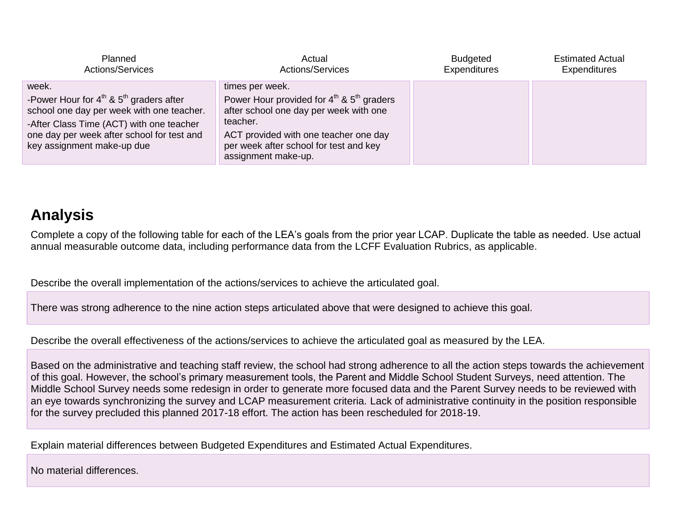| <b>Planned</b>                                                                                                                                                                                                                  | Actual                                                                                                                                                                                                                                 | <b>Budgeted</b>     | <b>Estimated Actual</b> |
|---------------------------------------------------------------------------------------------------------------------------------------------------------------------------------------------------------------------------------|----------------------------------------------------------------------------------------------------------------------------------------------------------------------------------------------------------------------------------------|---------------------|-------------------------|
| Actions/Services                                                                                                                                                                                                                | <b>Actions/Services</b>                                                                                                                                                                                                                | <b>Expenditures</b> | <b>Expenditures</b>     |
| week.<br>-Power Hour for $4^{th}$ & $5^{th}$ graders after<br>school one day per week with one teacher.<br>-After Class Time (ACT) with one teacher<br>one day per week after school for test and<br>key assignment make-up due | times per week.<br>Power Hour provided for $4^{th}$ & $5^{th}$ graders<br>after school one day per week with one<br>teacher.<br>ACT provided with one teacher one day<br>per week after school for test and key<br>assignment make-up. |                     |                         |

# **Analysis**

Complete a copy of the following table for each of the LEA's goals from the prior year LCAP. Duplicate the table as needed. Use actual annual measurable outcome data, including performance data from the LCFF Evaluation Rubrics, as applicable.

Describe the overall implementation of the actions/services to achieve the articulated goal.

There was strong adherence to the nine action steps articulated above that were designed to achieve this goal.

Describe the overall effectiveness of the actions/services to achieve the articulated goal as measured by the LEA.

Based on the administrative and teaching staff review, the school had strong adherence to all the action steps towards the achievement of this goal. However, the school's primary measurement tools, the Parent and Middle School Student Surveys, need attention. The Middle School Survey needs some redesign in order to generate more focused data and the Parent Survey needs to be reviewed with an eye towards synchronizing the survey and LCAP measurement criteria. Lack of administrative continuity in the position responsible for the survey precluded this planned 2017-18 effort. The action has been rescheduled for 2018-19.

Explain material differences between Budgeted Expenditures and Estimated Actual Expenditures.

No material differences.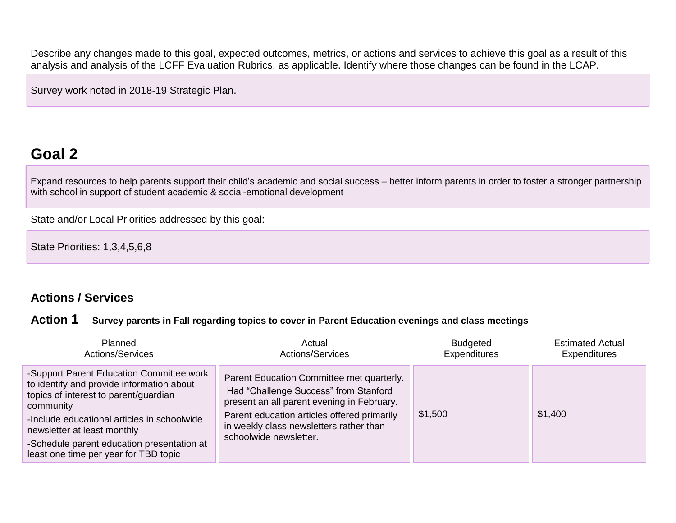Describe any changes made to this goal, expected outcomes, metrics, or actions and services to achieve this goal as a result of this analysis and analysis of the LCFF Evaluation Rubrics, as applicable. Identify where those changes can be found in the LCAP.

Survey work noted in 2018-19 Strategic Plan.

# **Goal 2**

Expand resources to help parents support their child's academic and social success – better inform parents in order to foster a stronger partnership with school in support of student academic & social-emotional development

State and/or Local Priorities addressed by this goal:

State Priorities: 1,3,4,5,6,8

### **Actions / Services**

#### **Action 1 Survey parents in Fall regarding topics to cover in Parent Education evenings and class meetings**

| <b>Planned</b>                                                                                                                                                                                                                                                                                                   | Actual                                                                                                                                                                                                                                               | <b>Budgeted</b>     | <b>Estimated Actual</b> |
|------------------------------------------------------------------------------------------------------------------------------------------------------------------------------------------------------------------------------------------------------------------------------------------------------------------|------------------------------------------------------------------------------------------------------------------------------------------------------------------------------------------------------------------------------------------------------|---------------------|-------------------------|
| <b>Actions/Services</b>                                                                                                                                                                                                                                                                                          | <b>Actions/Services</b>                                                                                                                                                                                                                              | <b>Expenditures</b> | <b>Expenditures</b>     |
| -Support Parent Education Committee work<br>to identify and provide information about<br>topics of interest to parent/guardian<br>community<br>-Include educational articles in schoolwide<br>newsletter at least monthly<br>-Schedule parent education presentation at<br>least one time per year for TBD topic | Parent Education Committee met quarterly.<br>Had "Challenge Success" from Stanford<br>present an all parent evening in February.<br>Parent education articles offered primarily<br>in weekly class newsletters rather than<br>schoolwide newsletter. | \$1,500             | \$1,400                 |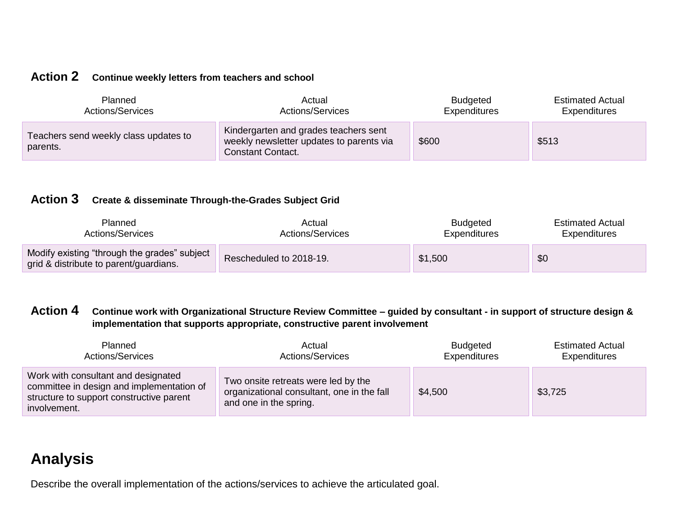### **Action 2 Continue weekly letters from teachers and school**

| <b>Planned</b>                                    | Actual                                                                                                        | <b>Budgeted</b> | <b>Estimated Actual</b> |
|---------------------------------------------------|---------------------------------------------------------------------------------------------------------------|-----------------|-------------------------|
| Actions/Services                                  | <b>Actions/Services</b>                                                                                       | Expenditures    | Expenditures            |
| Teachers send weekly class updates to<br>parents. | Kindergarten and grades teachers sent<br>weekly newsletter updates to parents via<br><b>Constant Contact.</b> | \$600           | \$513                   |

#### **Action 3 Create & disseminate Through-the-Grades Subject Grid**

| <b>Planned</b>                                                                         | Actual                  | <b>Budgeted</b> | <b>Estimated Actual</b> |
|----------------------------------------------------------------------------------------|-------------------------|-----------------|-------------------------|
| Actions/Services                                                                       | Actions/Services        | Expenditures    | Expenditures            |
| Modify existing "through the grades" subject<br>grid & distribute to parent/guardians. | Rescheduled to 2018-19. | \$1,500         | \$0                     |

#### **Action 4 Continue work with Organizational Structure Review Committee – guided by consultant - in support of structure design & implementation that supports appropriate, constructive parent involvement**

| Planned                                                                                                                                      | Actual                                                                                                      | <b>Budgeted</b> | <b>Estimated Actual</b> |
|----------------------------------------------------------------------------------------------------------------------------------------------|-------------------------------------------------------------------------------------------------------------|-----------------|-------------------------|
| Actions/Services                                                                                                                             | <b>Actions/Services</b>                                                                                     | Expenditures    | Expenditures            |
| Work with consultant and designated<br>committee in design and implementation of<br>structure to support constructive parent<br>involvement. | Two onsite retreats were led by the<br>organizational consultant, one in the fall<br>and one in the spring. | \$4,500         | \$3,725                 |

# **Analysis**

Describe the overall implementation of the actions/services to achieve the articulated goal.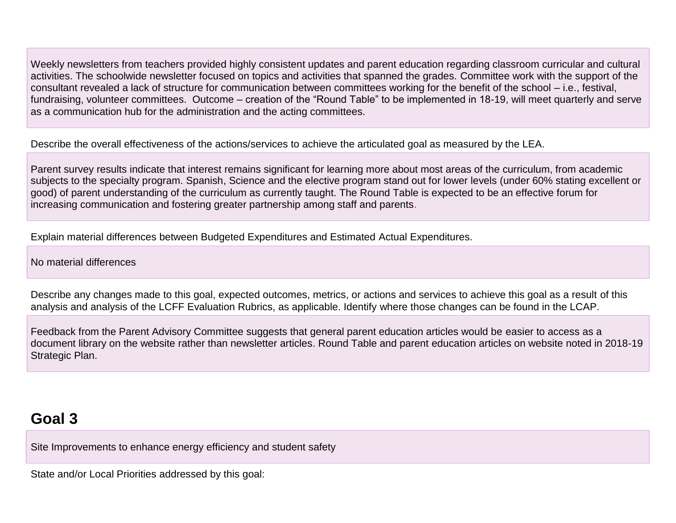Weekly newsletters from teachers provided highly consistent updates and parent education regarding classroom curricular and cultural activities. The schoolwide newsletter focused on topics and activities that spanned the grades. Committee work with the support of the consultant revealed a lack of structure for communication between committees working for the benefit of the school – i.e., festival, fundraising, volunteer committees. Outcome – creation of the "Round Table" to be implemented in 18-19, will meet quarterly and serve as a communication hub for the administration and the acting committees.

Describe the overall effectiveness of the actions/services to achieve the articulated goal as measured by the LEA.

Parent survey results indicate that interest remains significant for learning more about most areas of the curriculum, from academic subjects to the specialty program. Spanish, Science and the elective program stand out for lower levels (under 60% stating excellent or good) of parent understanding of the curriculum as currently taught. The Round Table is expected to be an effective forum for increasing communication and fostering greater partnership among staff and parents.

Explain material differences between Budgeted Expenditures and Estimated Actual Expenditures.

No material differences

Describe any changes made to this goal, expected outcomes, metrics, or actions and services to achieve this goal as a result of this analysis and analysis of the LCFF Evaluation Rubrics, as applicable. Identify where those changes can be found in the LCAP.

Feedback from the Parent Advisory Committee suggests that general parent education articles would be easier to access as a document library on the website rather than newsletter articles. Round Table and parent education articles on website noted in 2018-19 Strategic Plan.

# **Goal 3**

Site Improvements to enhance energy efficiency and student safety

State and/or Local Priorities addressed by this goal: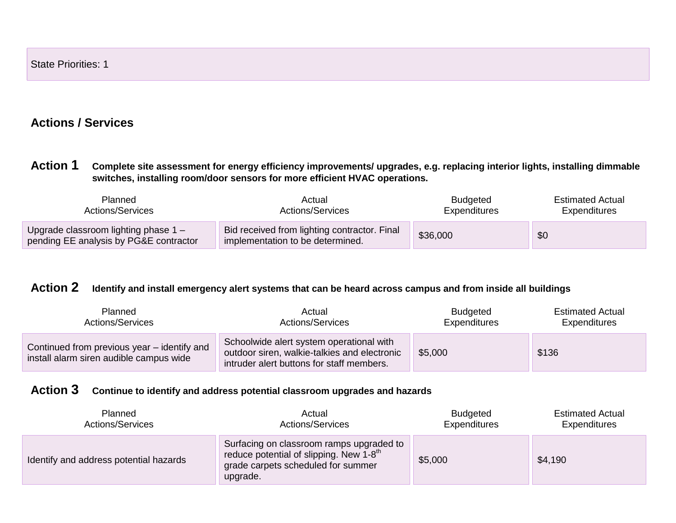### **Actions / Services**

**Action 1 Complete site assessment for energy efficiency improvements/ upgrades, e.g. replacing interior lights, installing dimmable switches, installing room/door sensors for more efficient HVAC operations.**

| <b>Planned</b>                                                                   | Actual                                                                           | <b>Budgeted</b> | <b>Estimated Actual</b> |
|----------------------------------------------------------------------------------|----------------------------------------------------------------------------------|-----------------|-------------------------|
| Actions/Services                                                                 | Actions/Services                                                                 | Expenditures    | <b>Expenditures</b>     |
| Upgrade classroom lighting phase $1 -$<br>pending EE analysis by PG&E contractor | Bid received from lighting contractor. Final<br>implementation to be determined. | \$36,000        | \$0                     |

### **Action 2 Identify and install emergency alert systems that can be heard across campus and from inside all buildings**

| Planned                                                                                | Actual                                                                                                                                | <b>Budgeted</b> | <b>Estimated Actual</b> |
|----------------------------------------------------------------------------------------|---------------------------------------------------------------------------------------------------------------------------------------|-----------------|-------------------------|
| <b>Actions/Services</b>                                                                | <b>Actions/Services</b>                                                                                                               | Expenditures    | Expenditures            |
| Continued from previous year – identify and<br>install alarm siren audible campus wide | Schoolwide alert system operational with<br>outdoor siren, walkie-talkies and electronic<br>intruder alert buttons for staff members. | \$5,000         | \$136                   |

#### **Action 3 Continue to identify and address potential classroom upgrades and hazards**

| Planned                                | Actual                                                                                                                                              | <b>Budgeted</b> | <b>Estimated Actual</b> |
|----------------------------------------|-----------------------------------------------------------------------------------------------------------------------------------------------------|-----------------|-------------------------|
| <b>Actions/Services</b>                | <b>Actions/Services</b>                                                                                                                             | Expenditures    | Expenditures            |
| Identify and address potential hazards | Surfacing on classroom ramps upgraded to<br>reduce potential of slipping. New $1-8$ <sup>th</sup><br>grade carpets scheduled for summer<br>upgrade. | \$5,000         | \$4,190                 |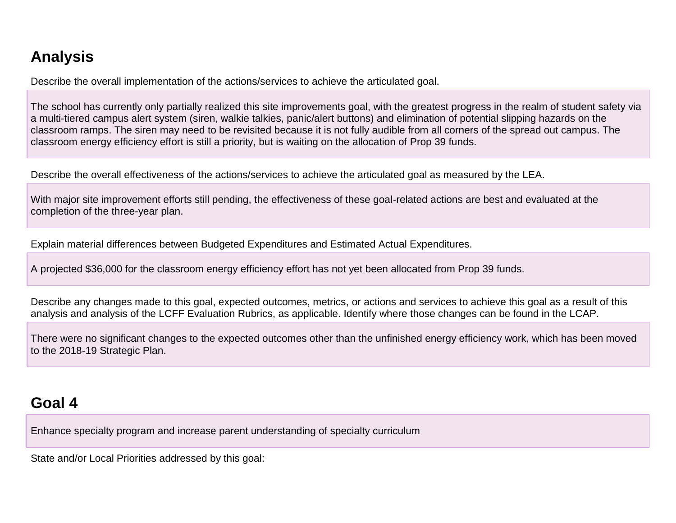# **Analysis**

Describe the overall implementation of the actions/services to achieve the articulated goal.

The school has currently only partially realized this site improvements goal, with the greatest progress in the realm of student safety via a multi-tiered campus alert system (siren, walkie talkies, panic/alert buttons) and elimination of potential slipping hazards on the classroom ramps. The siren may need to be revisited because it is not fully audible from all corners of the spread out campus. The classroom energy efficiency effort is still a priority, but is waiting on the allocation of Prop 39 funds.

Describe the overall effectiveness of the actions/services to achieve the articulated goal as measured by the LEA.

With major site improvement efforts still pending, the effectiveness of these goal-related actions are best and evaluated at the completion of the three-year plan.

Explain material differences between Budgeted Expenditures and Estimated Actual Expenditures.

A projected \$36,000 for the classroom energy efficiency effort has not yet been allocated from Prop 39 funds.

Describe any changes made to this goal, expected outcomes, metrics, or actions and services to achieve this goal as a result of this analysis and analysis of the LCFF Evaluation Rubrics, as applicable. Identify where those changes can be found in the LCAP.

There were no significant changes to the expected outcomes other than the unfinished energy efficiency work, which has been moved to the 2018-19 Strategic Plan.

# **Goal 4**

Enhance specialty program and increase parent understanding of specialty curriculum

State and/or Local Priorities addressed by this goal: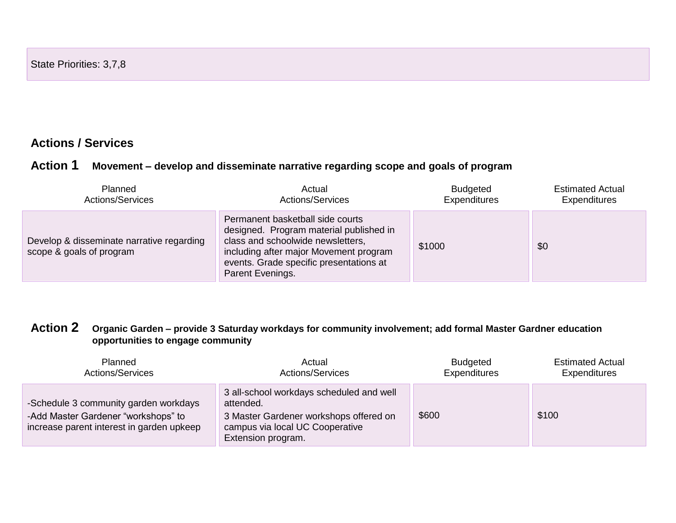### **Actions / Services**

#### **Action 1 Movement – develop and disseminate narrative regarding scope and goals of program**

| Planned                                                               | Actual                                                                                                                                                                                                                    | <b>Budgeted</b> | <b>Estimated Actual</b> |
|-----------------------------------------------------------------------|---------------------------------------------------------------------------------------------------------------------------------------------------------------------------------------------------------------------------|-----------------|-------------------------|
| Actions/Services                                                      | <b>Actions/Services</b>                                                                                                                                                                                                   | Expenditures    | <b>Expenditures</b>     |
| Develop & disseminate narrative regarding<br>scope & goals of program | Permanent basketball side courts<br>designed. Program material published in<br>class and schoolwide newsletters,<br>including after major Movement program<br>events. Grade specific presentations at<br>Parent Evenings. | \$1000          | \$0                     |

#### **Action 2 Organic Garden – provide 3 Saturday workdays for community involvement; add formal Master Gardner education opportunities to engage community**

| Planned                                                                                                                   | Actual                                                                                                                                                   | <b>Budgeted</b>     | <b>Estimated Actual</b> |
|---------------------------------------------------------------------------------------------------------------------------|----------------------------------------------------------------------------------------------------------------------------------------------------------|---------------------|-------------------------|
| <b>Actions/Services</b>                                                                                                   | <b>Actions/Services</b>                                                                                                                                  | <b>Expenditures</b> | <b>Expenditures</b>     |
| -Schedule 3 community garden workdays<br>-Add Master Gardener "workshops" to<br>increase parent interest in garden upkeep | 3 all-school workdays scheduled and well<br>attended.<br>3 Master Gardener workshops offered on<br>campus via local UC Cooperative<br>Extension program. | \$600               | \$100                   |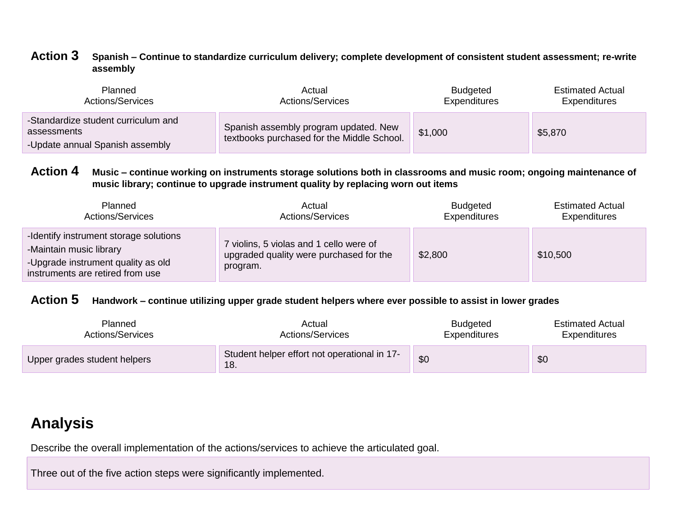#### **Action 3 Spanish – Continue to standardize curriculum delivery; complete development of consistent student assessment; re-write assembly**

| Planned                                                                               | Actual                                                                              | <b>Budgeted</b>     | <b>Estimated Actual</b> |
|---------------------------------------------------------------------------------------|-------------------------------------------------------------------------------------|---------------------|-------------------------|
| <b>Actions/Services</b>                                                               | Actions/Services                                                                    | <b>Expenditures</b> | Expenditures            |
| -Standardize student curriculum and<br>assessments<br>-Update annual Spanish assembly | Spanish assembly program updated. New<br>textbooks purchased for the Middle School. | \$1,000             | \$5,870                 |

#### **Action 4 Music – continue working on instruments storage solutions both in classrooms and music room; ongoing maintenance of music library; continue to upgrade instrument quality by replacing worn out items**

| Planned                                                                                                                                     | Actual                                                                                         | <b>Budgeted</b> | <b>Estimated Actual</b> |
|---------------------------------------------------------------------------------------------------------------------------------------------|------------------------------------------------------------------------------------------------|-----------------|-------------------------|
| <b>Actions/Services</b>                                                                                                                     | <b>Actions/Services</b>                                                                        | Expenditures    | Expenditures            |
| -Identify instrument storage solutions<br>-Maintain music library<br>-Upgrade instrument quality as old<br>instruments are retired from use | 7 violins, 5 violas and 1 cello were of<br>upgraded quality were purchased for the<br>program. | \$2,800         | \$10,500                |

### **Action 5 Handwork – continue utilizing upper grade student helpers where ever possible to assist in lower grades**

| <b>Planned</b>               | Actual                                              | <b>Budgeted</b> | <b>Estimated Actual</b> |
|------------------------------|-----------------------------------------------------|-----------------|-------------------------|
| <b>Actions/Services</b>      | Actions/Services                                    | Expenditures    | <b>Expenditures</b>     |
| Upper grades student helpers | Student helper effort not operational in 17-<br>18. | \$0             | \$0                     |

# **Analysis**

Describe the overall implementation of the actions/services to achieve the articulated goal.

Three out of the five action steps were significantly implemented.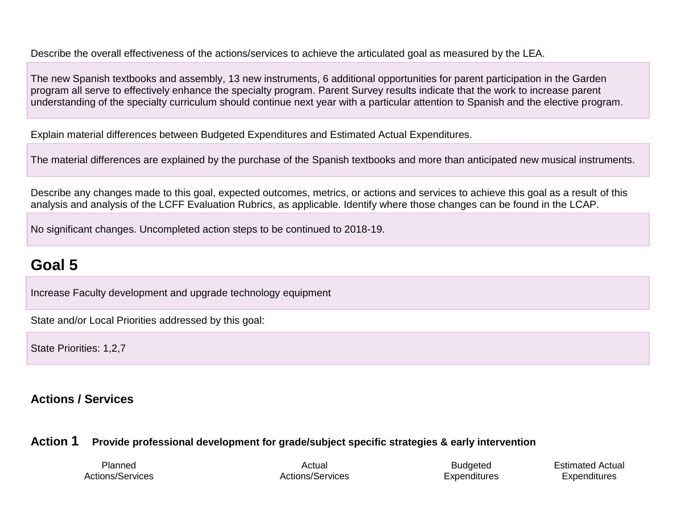Describe the overall effectiveness of the actions/services to achieve the articulated goal as measured by the LEA.

The new Spanish textbooks and assembly, 13 new instruments, 6 additional opportunities for parent participation in the Garden program all serve to effectively enhance the specialty program. Parent Survey results indicate that the work to increase parent understanding of the specialty curriculum should continue next year with a particular attention to Spanish and the elective program.

Explain material differences between Budgeted Expenditures and Estimated Actual Expenditures.

The material differences are explained by the purchase of the Spanish textbooks and more than anticipated new musical instruments.

Describe any changes made to this goal, expected outcomes, metrics, or actions and services to achieve this goal as a result of this analysis and analysis of the LCFF Evaluation Rubrics, as applicable. Identify where those changes can be found in the LCAP.

No significant changes. Uncompleted action steps to be continued to 2018-19.

# **Goal 5**

Increase Faculty development and upgrade technology equipment

State and/or Local Priorities addressed by this goal:

State Priorities: 1,2,7

### **Actions / Services**

### **Action 1 Provide professional development for grade/subject specific strategies & early intervention**

Planned Actions/Services

Actual Actions/Services

**Budgeted Expenditures**  Estimated Actual **Expenditures**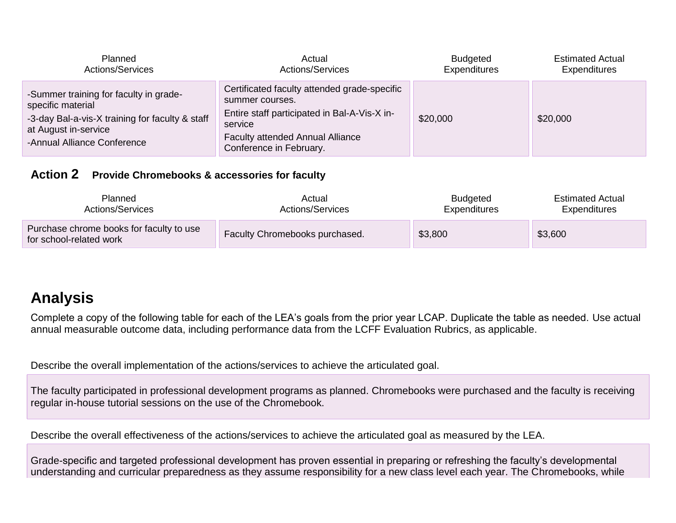| <b>Planned</b>                                                                                                                                                        | Actual                                                                                                                                                                                           | <b>Budgeted</b>     | <b>Estimated Actual</b> |
|-----------------------------------------------------------------------------------------------------------------------------------------------------------------------|--------------------------------------------------------------------------------------------------------------------------------------------------------------------------------------------------|---------------------|-------------------------|
| <b>Actions/Services</b>                                                                                                                                               | <b>Actions/Services</b>                                                                                                                                                                          | <b>Expenditures</b> | <b>Expenditures</b>     |
| -Summer training for faculty in grade-<br>specific material<br>-3-day Bal-a-vis-X training for faculty & staff<br>at August in-service<br>-Annual Alliance Conference | Certificated faculty attended grade-specific<br>summer courses.<br>Entire staff participated in Bal-A-Vis-X in-<br>service<br><b>Faculty attended Annual Alliance</b><br>Conference in February. | \$20,000            | \$20,000                |

#### **Action 2 Provide Chromebooks & accessories for faculty**

| Planned<br>Actions/Services                                         | Actual<br>Actions/Services     | <b>Estimated Actual</b><br><b>Budgeted</b><br>Expenditures<br>Expenditures |         |
|---------------------------------------------------------------------|--------------------------------|----------------------------------------------------------------------------|---------|
| Purchase chrome books for faculty to use<br>for school-related work | Faculty Chromebooks purchased. | \$3,800                                                                    | \$3,600 |

# **Analysis**

Complete a copy of the following table for each of the LEA's goals from the prior year LCAP. Duplicate the table as needed. Use actual annual measurable outcome data, including performance data from the LCFF Evaluation Rubrics, as applicable.

Describe the overall implementation of the actions/services to achieve the articulated goal.

The faculty participated in professional development programs as planned. Chromebooks were purchased and the faculty is receiving regular in-house tutorial sessions on the use of the Chromebook.

Describe the overall effectiveness of the actions/services to achieve the articulated goal as measured by the LEA.

Grade-specific and targeted professional development has proven essential in preparing or refreshing the faculty's developmental understanding and curricular preparedness as they assume responsibility for a new class level each year. The Chromebooks, while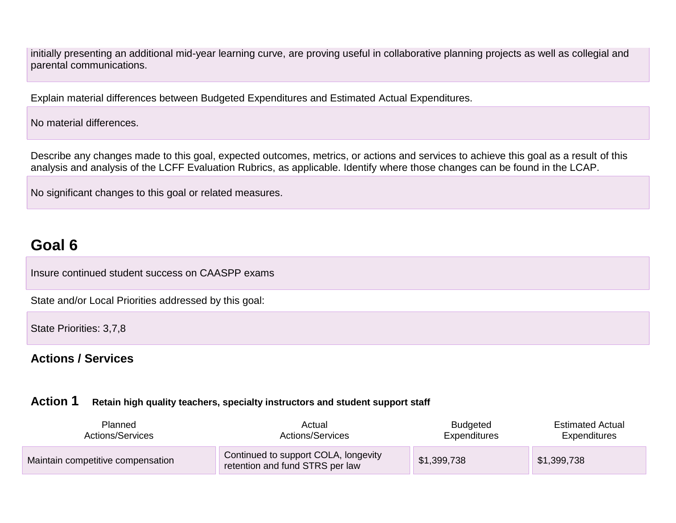initially presenting an additional mid-year learning curve, are proving useful in collaborative planning projects as well as collegial and parental communications.

Explain material differences between Budgeted Expenditures and Estimated Actual Expenditures.

No material differences.

Describe any changes made to this goal, expected outcomes, metrics, or actions and services to achieve this goal as a result of this analysis and analysis of the LCFF Evaluation Rubrics, as applicable. Identify where those changes can be found in the LCAP.

No significant changes to this goal or related measures.

# **Goal 6**

Insure continued student success on CAASPP exams

State and/or Local Priorities addressed by this goal:

State Priorities: 3,7,8

#### **Actions / Services**

#### **Action 1 Retain high quality teachers, specialty instructors and student support staff**

| <b>Planned</b><br>Actual<br>Actions/Services<br>Actions/Services |                                                                         | <b>Budgeted</b><br>Expenditures | <b>Estimated Actual</b><br>Expenditures |
|------------------------------------------------------------------|-------------------------------------------------------------------------|---------------------------------|-----------------------------------------|
| Maintain competitive compensation                                | Continued to support COLA, longevity<br>retention and fund STRS per law | \$1,399,738                     | \$1,399,738                             |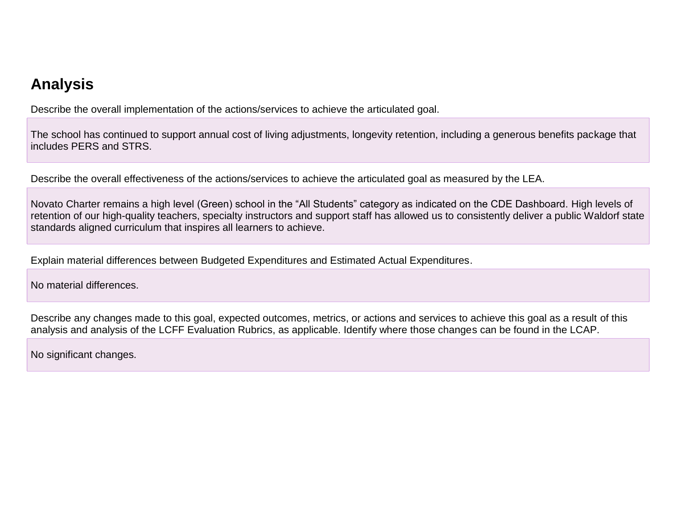# **Analysis**

Describe the overall implementation of the actions/services to achieve the articulated goal.

The school has continued to support annual cost of living adjustments, longevity retention, including a generous benefits package that includes PERS and STRS.

Describe the overall effectiveness of the actions/services to achieve the articulated goal as measured by the LEA.

Novato Charter remains a high level (Green) school in the "All Students" category as indicated on the CDE Dashboard. High levels of retention of our high-quality teachers, specialty instructors and support staff has allowed us to consistently deliver a public Waldorf state standards aligned curriculum that inspires all learners to achieve.

Explain material differences between Budgeted Expenditures and Estimated Actual Expenditures.

No material differences.

Describe any changes made to this goal, expected outcomes, metrics, or actions and services to achieve this goal as a result of this analysis and analysis of the LCFF Evaluation Rubrics, as applicable. Identify where those changes can be found in the LCAP.

No significant changes.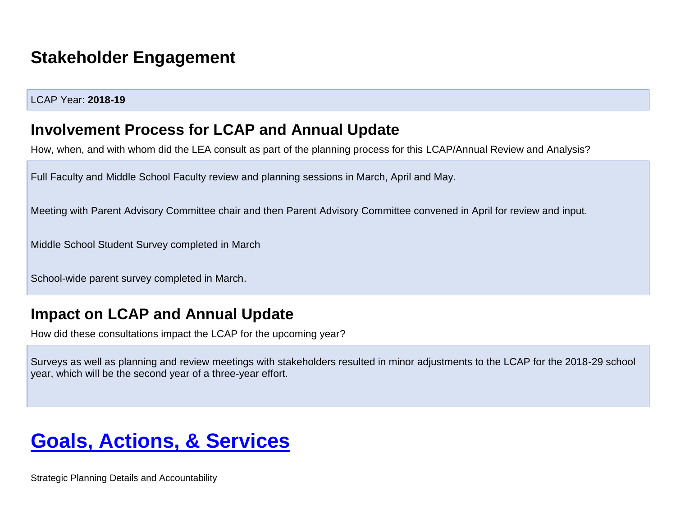# **Stakeholder Engagement**

#### LCAP Year: **2018-19**

### **Involvement Process for LCAP and Annual Update**

How, when, and with whom did the LEA consult as part of the planning process for this LCAP/Annual Review and Analysis?

Full Faculty and Middle School Faculty review and planning sessions in March, April and May.

Meeting with Parent Advisory Committee chair and then Parent Advisory Committee convened in April for review and input.

Middle School Student Survey completed in March

School-wide parent survey completed in March.

## **Impact on LCAP and Annual Update**

How did these consultations impact the LCAP for the upcoming year?

Surveys as well as planning and review meetings with stakeholders resulted in minor adjustments to the LCAP for the 2018-29 school year, which will be the second year of a three-year effort.

# **Goals, Actions, & Services**

Strategic Planning Details and Accountability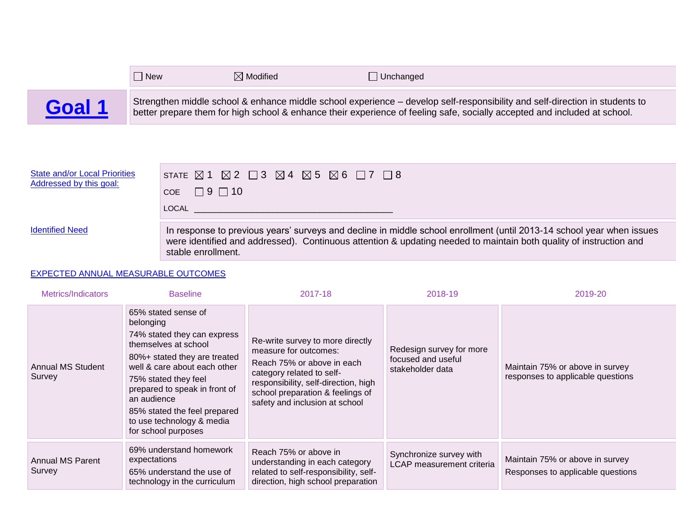|        | $\exists$ New | $\boxtimes$ Modified | $\Box$ Unchanged                                                                                                                                                                                                                                         |
|--------|---------------|----------------------|----------------------------------------------------------------------------------------------------------------------------------------------------------------------------------------------------------------------------------------------------------|
| Goal 1 |               |                      | Strengthen middle school & enhance middle school experience – develop self-responsibility and self-direction in students to<br>better prepare them for high school & enhance their experience of feeling safe, socially accepted and included at school. |

| <b>State and/or Local Priorities</b> | STATE $\boxtimes$ 1 $\boxtimes$ 2 $\Box$ 3 $\boxtimes$ 4 $\boxtimes$ 5 $\boxtimes$ 6 $\Box$ 7 $\Box$ 8                                                                                                                                                                                                                                                                             |
|--------------------------------------|------------------------------------------------------------------------------------------------------------------------------------------------------------------------------------------------------------------------------------------------------------------------------------------------------------------------------------------------------------------------------------|
| Addressed by this goal:              | COE $\Box$ 9 $\Box$ 10                                                                                                                                                                                                                                                                                                                                                             |
| <b>Identified Need</b>               | LOCAL And the contract of the contract of the contract of the contract of the contract of the contract of the<br>In response to previous years' surveys and decline in middle school enrollment (until 2013-14 school year when issues<br>were identified and addressed). Continuous attention & updating needed to maintain both quality of instruction and<br>stable enrollment. |

#### EXPECTED ANNUAL MEASURABLE OUTCOMES

 $\overline{\phantom{a}}$ 

| Metrics/Indicators                 | <b>Baseline</b>                                                                                                                                                                                                                                                                                                     | 2017-18                                                                                                                                                                                                                            | 2018-19                                                            | 2019-20                                                              |
|------------------------------------|---------------------------------------------------------------------------------------------------------------------------------------------------------------------------------------------------------------------------------------------------------------------------------------------------------------------|------------------------------------------------------------------------------------------------------------------------------------------------------------------------------------------------------------------------------------|--------------------------------------------------------------------|----------------------------------------------------------------------|
| <b>Annual MS Student</b><br>Survey | 65% stated sense of<br>belonging<br>74% stated they can express<br>themselves at school<br>80%+ stated they are treated<br>well & care about each other<br>75% stated they feel<br>prepared to speak in front of<br>an audience<br>85% stated the feel prepared<br>to use technology & media<br>for school purposes | Re-write survey to more directly<br>measure for outcomes:<br>Reach 75% or above in each<br>category related to self-<br>responsibility, self-direction, high<br>school preparation & feelings of<br>safety and inclusion at school | Redesign survey for more<br>focused and useful<br>stakeholder data | Maintain 75% or above in survey<br>responses to applicable questions |
| <b>Annual MS Parent</b><br>Survey  | 69% understand homework<br>expectations<br>65% understand the use of<br>technology in the curriculum                                                                                                                                                                                                                | Reach 75% or above in<br>understanding in each category<br>related to self-responsibility, self-<br>direction, high school preparation                                                                                             | Synchronize survey with<br>LCAP measurement criteria               | Maintain 75% or above in survey<br>Responses to applicable questions |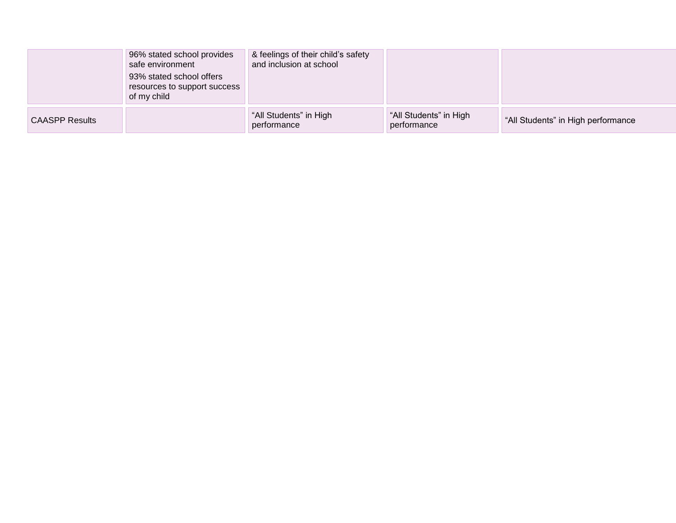|                       | 96% stated school provides<br>safe environment<br>93% stated school offers<br>resources to support success<br>of my child | & feelings of their child's safety<br>and inclusion at school |                                       |                                    |
|-----------------------|---------------------------------------------------------------------------------------------------------------------------|---------------------------------------------------------------|---------------------------------------|------------------------------------|
| <b>CAASPP Results</b> |                                                                                                                           | "All Students" in High<br>performance                         | "All Students" in High<br>performance | "All Students" in High performance |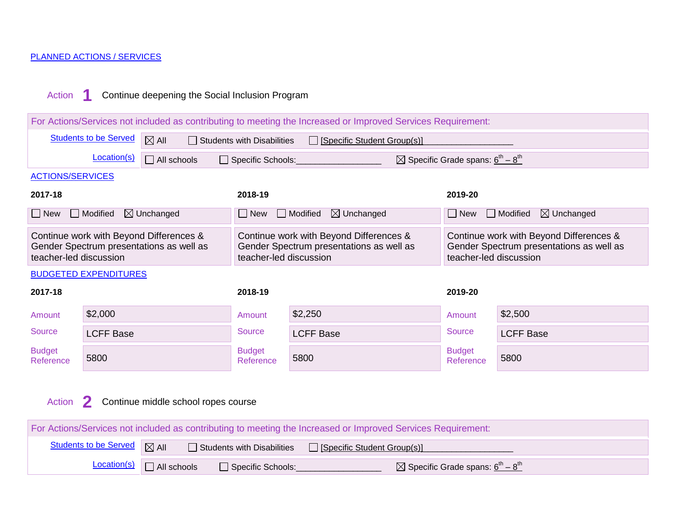#### PLANNED ACTIONS / SERVICES

### Action **1** Continue deepening the Social Inclusion Program

| For Actions/Services not included as contributing to meeting the Increased or Improved Services Requirement: |                                                                                                                       |                                                                                     |                                   |                                                                                     |                                                                               |                                                                                     |
|--------------------------------------------------------------------------------------------------------------|-----------------------------------------------------------------------------------------------------------------------|-------------------------------------------------------------------------------------|-----------------------------------|-------------------------------------------------------------------------------------|-------------------------------------------------------------------------------|-------------------------------------------------------------------------------------|
|                                                                                                              | <b>Students to be Served</b>                                                                                          | $\boxtimes$ All                                                                     | $\Box$ Students with Disabilities | □ [Specific Student Group(s)]                                                       |                                                                               |                                                                                     |
|                                                                                                              | Location(s)                                                                                                           | $\Box$ All schools                                                                  | Specific Schools:                 |                                                                                     | $\boxtimes$ Specific Grade spans: $\underline{6}^{\text{th}} - 8^{\text{th}}$ |                                                                                     |
| <b>ACTIONS/SERVICES</b>                                                                                      |                                                                                                                       |                                                                                     |                                   |                                                                                     |                                                                               |                                                                                     |
| 2017-18                                                                                                      |                                                                                                                       |                                                                                     | 2018-19                           |                                                                                     | 2019-20                                                                       |                                                                                     |
| $\Box$ New                                                                                                   | $\Box$ Modified                                                                                                       | $\boxtimes$ Unchanged                                                               | New                               | $\boxtimes$ Unchanged<br>$\Box$ Modified                                            | New                                                                           | $\boxtimes$ Unchanged<br>$\Box$ Modified                                            |
| teacher-led discussion                                                                                       |                                                                                                                       | Continue work with Beyond Differences &<br>Gender Spectrum presentations as well as | teacher-led discussion            | Continue work with Beyond Differences &<br>Gender Spectrum presentations as well as | teacher-led discussion                                                        | Continue work with Beyond Differences &<br>Gender Spectrum presentations as well as |
|                                                                                                              | <b>BUDGETED EXPENDITURES</b>                                                                                          |                                                                                     |                                   |                                                                                     |                                                                               |                                                                                     |
| 2017-18                                                                                                      |                                                                                                                       |                                                                                     | 2018-19                           |                                                                                     | 2019-20                                                                       |                                                                                     |
| Amount                                                                                                       | \$2,000                                                                                                               |                                                                                     | Amount                            | \$2,250                                                                             | Amount                                                                        | \$2,500                                                                             |
| <b>Source</b>                                                                                                | <b>LCFF Base</b>                                                                                                      |                                                                                     | <b>Source</b>                     | <b>LCFF Base</b>                                                                    | <b>Source</b>                                                                 | <b>LCFF Base</b>                                                                    |
| <b>Budget</b><br>Reference                                                                                   | 5800                                                                                                                  |                                                                                     | <b>Budget</b><br>Reference        | 5800                                                                                | <b>Budget</b><br>Reference                                                    | 5800                                                                                |
| Continue middle school ropes course<br>$\mathbf{2}$<br>Action                                                |                                                                                                                       |                                                                                     |                                   |                                                                                     |                                                                               |                                                                                     |
| For Actions/Services not included as contributing to meeting the Increased or Improved Services Requirement: |                                                                                                                       |                                                                                     |                                   |                                                                                     |                                                                               |                                                                                     |
|                                                                                                              | <b>Students to be Served</b><br>$\boxtimes$ All<br>$\Box$ Students with Disabilities<br>□ [Specific Student Group(s)] |                                                                                     |                                   |                                                                                     |                                                                               |                                                                                     |
|                                                                                                              | Location(s)                                                                                                           | $\Box$ All schools                                                                  | Specific Schools:                 |                                                                                     | $\boxtimes$ Specific Grade spans: $\underline{6}^{\text{th}} - 8^{\text{th}}$ |                                                                                     |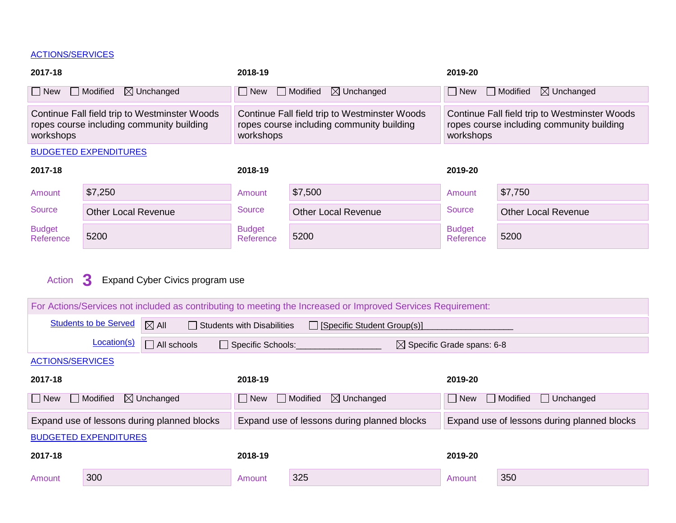#### ACTIONS/SERVICES

| 2017-18                                                                                                 |                              |                                 | 2018-19                           |                                                                                                              |                                                   | 2019-20                                                                                    |  |  |
|---------------------------------------------------------------------------------------------------------|------------------------------|---------------------------------|-----------------------------------|--------------------------------------------------------------------------------------------------------------|---------------------------------------------------|--------------------------------------------------------------------------------------------|--|--|
| $\Box$ New                                                                                              | $\Box$ Modified              | $\boxtimes$ Unchanged           | $\Box$ New                        | $\Box$ Modified<br>$\boxtimes$ Unchanged                                                                     | $\Box$ New                                        | $\boxtimes$ Unchanged<br>Modified                                                          |  |  |
| Continue Fall field trip to Westminster Woods<br>ropes course including community building<br>workshops |                              |                                 | workshops                         | Continue Fall field trip to Westminster Woods<br>ropes course including community building                   | workshops                                         | Continue Fall field trip to Westminster Woods<br>ropes course including community building |  |  |
| <b>BUDGETED EXPENDITURES</b>                                                                            |                              |                                 |                                   |                                                                                                              |                                                   |                                                                                            |  |  |
| 2017-18                                                                                                 |                              |                                 | 2018-19                           |                                                                                                              | 2019-20                                           |                                                                                            |  |  |
| Amount                                                                                                  | \$7,250                      |                                 | Amount                            | \$7,500                                                                                                      | Amount                                            | \$7,750                                                                                    |  |  |
| Source                                                                                                  | <b>Other Local Revenue</b>   |                                 | <b>Source</b>                     | <b>Other Local Revenue</b>                                                                                   | Source                                            | <b>Other Local Revenue</b>                                                                 |  |  |
| <b>Budget</b><br>Reference                                                                              | 5200                         |                                 | <b>Budget</b><br>Reference        | 5200                                                                                                         | <b>Budget</b><br>Reference                        | 5200                                                                                       |  |  |
| Action                                                                                                  | 3                            | Expand Cyber Civics program use |                                   |                                                                                                              |                                                   |                                                                                            |  |  |
|                                                                                                         |                              |                                 |                                   | For Actions/Services not included as contributing to meeting the Increased or Improved Services Requirement: |                                                   |                                                                                            |  |  |
|                                                                                                         | <b>Students to be Served</b> | $\boxtimes$ All                 | <b>Students with Disabilities</b> | □ [Specific Student Group(s)]                                                                                |                                                   |                                                                                            |  |  |
|                                                                                                         | Location(s)                  | All schools                     | Specific Schools:                 |                                                                                                              | $\boxtimes$ Specific Grade spans: 6-8             |                                                                                            |  |  |
| <b>ACTIONS/SERVICES</b>                                                                                 |                              |                                 |                                   |                                                                                                              |                                                   |                                                                                            |  |  |
| 2017-18                                                                                                 |                              |                                 | 2018-19                           |                                                                                                              | 2019-20                                           |                                                                                            |  |  |
| $\boxtimes$ Unchanged<br>$\Box$ Modified<br>$\Box$ New                                                  |                              |                                 | $\Box$ New                        | $\boxtimes$ Unchanged<br>$\Box$ Modified                                                                     | $\Box$ Modified<br>$\Box$ New<br>$\Box$ Unchanged |                                                                                            |  |  |
| Expand use of lessons during planned blocks                                                             |                              |                                 |                                   | Expand use of lessons during planned blocks                                                                  | Expand use of lessons during planned blocks       |                                                                                            |  |  |
|                                                                                                         | <b>BUDGETED EXPENDITURES</b> |                                 |                                   |                                                                                                              |                                                   |                                                                                            |  |  |
| 2017-18                                                                                                 |                              |                                 | 2018-19                           |                                                                                                              | 2019-20                                           |                                                                                            |  |  |
| Amount                                                                                                  | 300                          |                                 | Amount                            | 325                                                                                                          | Amount                                            | 350                                                                                        |  |  |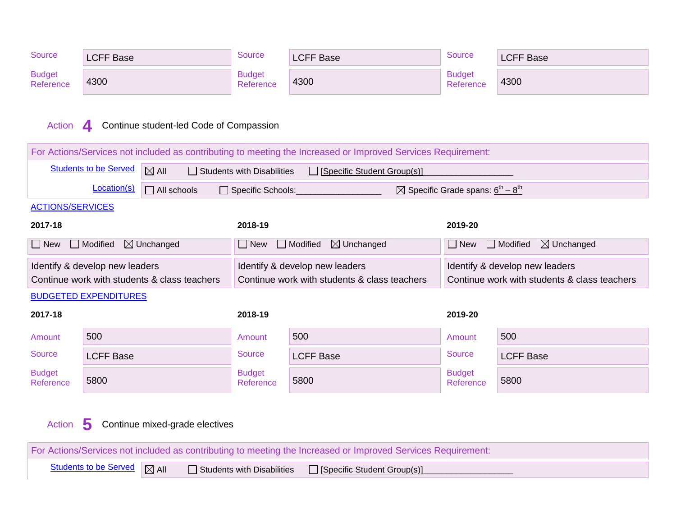| Source                                                                | <b>LCFF Base</b>                    |                                              | <b>Source</b>                     | <b>LCFF Base</b>                                                                                             | <b>Source</b><br><b>LCFF Base</b>                                   |                                                                                |  |
|-----------------------------------------------------------------------|-------------------------------------|----------------------------------------------|-----------------------------------|--------------------------------------------------------------------------------------------------------------|---------------------------------------------------------------------|--------------------------------------------------------------------------------|--|
| <b>Budget</b><br>Reference                                            | 4300                                |                                              | <b>Budget</b><br>Reference        | 4300                                                                                                         | <b>Budget</b><br>Reference                                          | 4300                                                                           |  |
| Continue student-led Code of Compassion<br>Action<br>$\boldsymbol{A}$ |                                     |                                              |                                   |                                                                                                              |                                                                     |                                                                                |  |
|                                                                       |                                     |                                              |                                   | For Actions/Services not included as contributing to meeting the Increased or Improved Services Requirement: |                                                                     |                                                                                |  |
|                                                                       | <b>Students to be Served</b>        | $\boxtimes$ All                              | $\Box$ Students with Disabilities | □ [Specific Student Group(s)]                                                                                |                                                                     |                                                                                |  |
|                                                                       | Location(s)                         | $\Box$ All schools                           | Specific Schools:                 |                                                                                                              | $\boxtimes$ Specific Grade spans: 6 <sup>th</sup> – 8 <sup>th</sup> |                                                                                |  |
| <b>ACTIONS/SERVICES</b>                                               |                                     |                                              |                                   |                                                                                                              |                                                                     |                                                                                |  |
| 2017-18                                                               |                                     |                                              | 2018-19                           |                                                                                                              | 2019-20                                                             |                                                                                |  |
| $\Box$ New                                                            | $\Box$ Modified                     | $\boxtimes$ Unchanged                        | $\Box$ New $\Box$ Modified        | $\boxtimes$ Unchanged                                                                                        | $\boxtimes$ Unchanged<br>$\Box$ Modified<br>$\Box$ New              |                                                                                |  |
|                                                                       | Identify & develop new leaders      | Continue work with students & class teachers |                                   | Identify & develop new leaders<br>Continue work with students & class teachers                               |                                                                     | Identify & develop new leaders<br>Continue work with students & class teachers |  |
|                                                                       | <b>BUDGETED EXPENDITURES</b>        |                                              |                                   |                                                                                                              |                                                                     |                                                                                |  |
| 2017-18                                                               |                                     |                                              | 2018-19                           |                                                                                                              | 2019-20                                                             |                                                                                |  |
| Amount                                                                | 500                                 |                                              | Amount                            | 500                                                                                                          | Amount                                                              | 500                                                                            |  |
| <b>Source</b>                                                         | <b>LCFF Base</b>                    |                                              | <b>Source</b>                     | <b>LCFF Base</b>                                                                                             | <b>Source</b>                                                       | <b>LCFF Base</b>                                                               |  |
| <b>Budget</b><br>Reference                                            | 5800                                |                                              | <b>Budget</b><br>Reference        | 5800                                                                                                         | <b>Budget</b><br>Reference                                          | 5800                                                                           |  |
| Action                                                                | 5<br>Continue mixed-grade electives |                                              |                                   |                                                                                                              |                                                                     |                                                                                |  |

For Actions/Services not included as contributing to meeting the Increased or Improved Services Requirement: Students to be Served  $\boxed{\fbox{A}}$  All  $\boxed{\fbox{S}$  Students with Disabilities  $\boxed{\fbox{Specific Student Group(s)}}$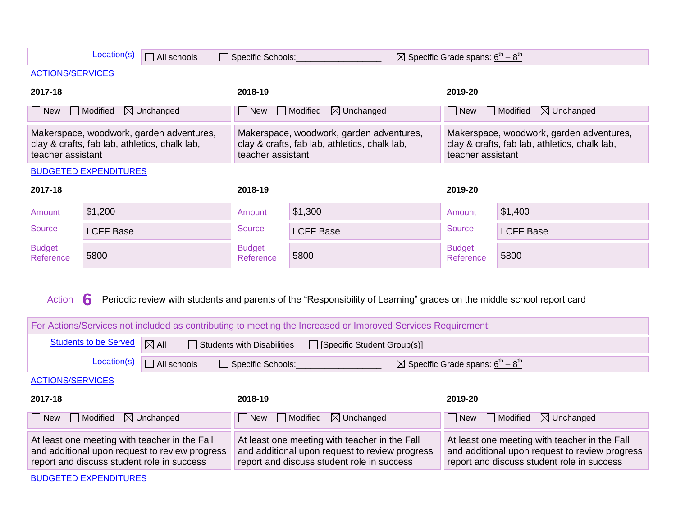| Location(s)<br>$\boxtimes$ Specific Grade spans: $6^{th} - 8^{th}$<br>$\Box$ All schools<br>Specific Schools:  |                              |                                                                                                                                               |                                                                                                                                                                                      |                                                                                                                                               |                                                                   |                                                                                                                                               |
|----------------------------------------------------------------------------------------------------------------|------------------------------|-----------------------------------------------------------------------------------------------------------------------------------------------|--------------------------------------------------------------------------------------------------------------------------------------------------------------------------------------|-----------------------------------------------------------------------------------------------------------------------------------------------|-------------------------------------------------------------------|-----------------------------------------------------------------------------------------------------------------------------------------------|
| <b>ACTIONS/SERVICES</b>                                                                                        |                              |                                                                                                                                               |                                                                                                                                                                                      |                                                                                                                                               |                                                                   |                                                                                                                                               |
| 2017-18                                                                                                        |                              |                                                                                                                                               | 2018-19                                                                                                                                                                              |                                                                                                                                               | 2019-20                                                           |                                                                                                                                               |
| $\square$ New                                                                                                  | $\Box$ Modified              | $\boxtimes$ Unchanged                                                                                                                         | $\Box$ New                                                                                                                                                                           | $\Box$ Modified<br>$\boxtimes$ Unchanged                                                                                                      | $\Box$ New                                                        | $\Box$ Modified<br>$\boxtimes$ Unchanged                                                                                                      |
| Makerspace, woodwork, garden adventures,<br>clay & crafts, fab lab, athletics, chalk lab,<br>teacher assistant |                              |                                                                                                                                               | Makerspace, woodwork, garden adventures,<br>clay & crafts, fab lab, athletics, chalk lab,<br>clay & crafts, fab lab, athletics, chalk lab,<br>teacher assistant<br>teacher assistant |                                                                                                                                               | Makerspace, woodwork, garden adventures,                          |                                                                                                                                               |
|                                                                                                                | <b>BUDGETED EXPENDITURES</b> |                                                                                                                                               |                                                                                                                                                                                      |                                                                                                                                               |                                                                   |                                                                                                                                               |
| 2017-18                                                                                                        |                              |                                                                                                                                               | 2018-19                                                                                                                                                                              |                                                                                                                                               | 2019-20                                                           |                                                                                                                                               |
| Amount                                                                                                         | \$1,200                      |                                                                                                                                               | Amount                                                                                                                                                                               | \$1,300                                                                                                                                       | Amount                                                            | \$1,400                                                                                                                                       |
| <b>Source</b>                                                                                                  | <b>LCFF Base</b>             |                                                                                                                                               | <b>Source</b>                                                                                                                                                                        | <b>LCFF Base</b>                                                                                                                              | Source                                                            | <b>LCFF Base</b>                                                                                                                              |
| <b>Budget</b><br>Reference                                                                                     | 5800                         |                                                                                                                                               | <b>Budget</b><br>Reference                                                                                                                                                           | 5800                                                                                                                                          | <b>Budget</b><br>Reference                                        | 5800                                                                                                                                          |
| Action                                                                                                         | 6                            |                                                                                                                                               |                                                                                                                                                                                      | Periodic review with students and parents of the "Responsibility of Learning" grades on the middle school report card                         |                                                                   |                                                                                                                                               |
|                                                                                                                |                              |                                                                                                                                               |                                                                                                                                                                                      | For Actions/Services not included as contributing to meeting the Increased or Improved Services Requirement:                                  |                                                                   |                                                                                                                                               |
|                                                                                                                | <b>Students to be Served</b> | $\boxtimes$ All                                                                                                                               | $\Box$ Students with Disabilities                                                                                                                                                    | □ [Specific Student Group(s)]                                                                                                                 |                                                                   |                                                                                                                                               |
|                                                                                                                | Location(s)                  | $\Box$ All schools                                                                                                                            | □ Specific Schools:                                                                                                                                                                  |                                                                                                                                               | $\boxtimes$ Specific Grade spans: $6^{\text{th}} - 8^{\text{th}}$ |                                                                                                                                               |
| <b>ACTIONS/SERVICES</b>                                                                                        |                              |                                                                                                                                               |                                                                                                                                                                                      |                                                                                                                                               |                                                                   |                                                                                                                                               |
| 2017-18                                                                                                        |                              |                                                                                                                                               | 2018-19                                                                                                                                                                              |                                                                                                                                               | 2019-20                                                           |                                                                                                                                               |
| $\Box$ New                                                                                                     | $\Box$ Modified              | $\boxtimes$ Unchanged                                                                                                                         | $\Box$ New                                                                                                                                                                           | $\Box$ Modified<br>$\boxtimes$ Unchanged                                                                                                      | $\Box$ New                                                        | $\Box$ Modified<br>$\boxtimes$ Unchanged                                                                                                      |
|                                                                                                                |                              | At least one meeting with teacher in the Fall<br>and additional upon request to review progress<br>report and discuss student role in success |                                                                                                                                                                                      | At least one meeting with teacher in the Fall<br>and additional upon request to review progress<br>report and discuss student role in success |                                                                   | At least one meeting with teacher in the Fall<br>and additional upon request to review progress<br>report and discuss student role in success |
| <b>BUDGETED EXPENDITURES</b>                                                                                   |                              |                                                                                                                                               |                                                                                                                                                                                      |                                                                                                                                               |                                                                   |                                                                                                                                               |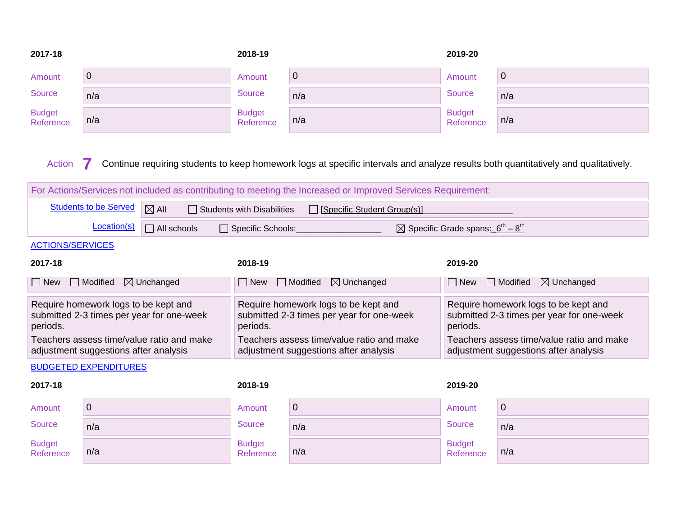| 2017-18                    |     | 2018-19                    |     | 2019-20                    |     |
|----------------------------|-----|----------------------------|-----|----------------------------|-----|
| Amount                     | Ő   | Amount                     | 0   | Amount                     | U   |
| Source                     | n/a | <b>Source</b>              | n/a | <b>Source</b>              | n/a |
| <b>Budget</b><br>Reference | n/a | <b>Budget</b><br>Reference | n/a | <b>Budget</b><br>Reference | n/a |

Action **7** Continue requiring students to keep homework logs at specific intervals and analyze results both quantitatively and qualitatively.

| For Actions/Services not included as contributing to meeting the Increased or Improved Services Requirement: |                                                                                                     |                                                                                               |                                                                                               |  |  |  |  |  |  |
|--------------------------------------------------------------------------------------------------------------|-----------------------------------------------------------------------------------------------------|-----------------------------------------------------------------------------------------------|-----------------------------------------------------------------------------------------------|--|--|--|--|--|--|
| <b>Students to be Served</b>                                                                                 | $\boxtimes$ All<br>$\Box$ Students with Disabilities<br>[Specific Student Group(s)]<br>$\mathbf{I}$ |                                                                                               |                                                                                               |  |  |  |  |  |  |
| Location(s)                                                                                                  | $\Box$ All schools                                                                                  | Specific Schools:                                                                             | $\boxtimes$ Specific Grade spans: $6^{th} - 8^{th}$                                           |  |  |  |  |  |  |
| <b>ACTIONS/SERVICES</b>                                                                                      |                                                                                                     |                                                                                               |                                                                                               |  |  |  |  |  |  |
| 2017-18                                                                                                      |                                                                                                     | 2018-19                                                                                       | 2019-20                                                                                       |  |  |  |  |  |  |
| $\Box$ New<br>$\Box$ Modified                                                                                | $\boxtimes$ Unchanged                                                                               | $\boxtimes$ Unchanged<br>Modified<br>$\Box$ New                                               | $\boxtimes$ Unchanged<br>Modified<br>$\Box$ New<br>$\mathbf{L}$                               |  |  |  |  |  |  |
| Require homework logs to be kept and<br>submitted 2-3 times per year for one-week<br>periods.                |                                                                                                     | Require homework logs to be kept and<br>submitted 2-3 times per year for one-week<br>periods. | Require homework logs to be kept and<br>submitted 2-3 times per year for one-week<br>periods. |  |  |  |  |  |  |
| Teachers assess time/value ratio and make<br>adjustment suggestions after analysis                           |                                                                                                     | Teachers assess time/value ratio and make<br>adjustment suggestions after analysis            | Teachers assess time/value ratio and make<br>adjustment suggestions after analysis            |  |  |  |  |  |  |
| <b>BUDGETED EXPENDITURES</b>                                                                                 |                                                                                                     |                                                                                               |                                                                                               |  |  |  |  |  |  |
| 2017-18                                                                                                      |                                                                                                     | 2018-19                                                                                       | 2019-20                                                                                       |  |  |  |  |  |  |

| Amount              | ◡   | Amount                     | U   | Amount                     | U   |
|---------------------|-----|----------------------------|-----|----------------------------|-----|
| Source              | n/a | Source                     | n/a | Source                     | n/a |
| Budget<br>Reference | n/a | <b>Budget</b><br>Reference | n/a | <b>Budget</b><br>Reference | n/a |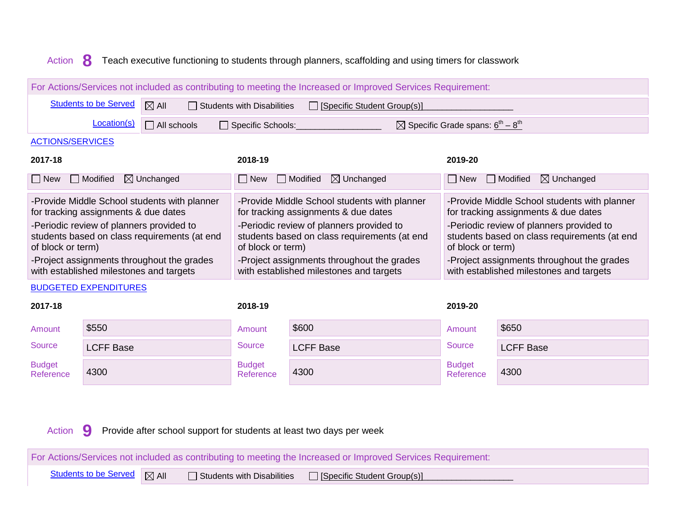#### Action **8** Teach executive functioning to students through planners, scaffolding and using timers for classwork

| For Actions/Services not included as contributing to meeting the Increased or Improved Services Requirement:                                                                                                                                                                                   |                                                                                                                  |                                                                                                                                                                                                                                                                                                |                                                                                                                                                                                                                                                                                                |  |  |  |  |  |  |  |
|------------------------------------------------------------------------------------------------------------------------------------------------------------------------------------------------------------------------------------------------------------------------------------------------|------------------------------------------------------------------------------------------------------------------|------------------------------------------------------------------------------------------------------------------------------------------------------------------------------------------------------------------------------------------------------------------------------------------------|------------------------------------------------------------------------------------------------------------------------------------------------------------------------------------------------------------------------------------------------------------------------------------------------|--|--|--|--|--|--|--|
| <b>Students to be Served</b>                                                                                                                                                                                                                                                                   | $\boxtimes$ All<br>$\Box$ Students with Disabilities<br>Specific Student Group(s)]                               |                                                                                                                                                                                                                                                                                                |                                                                                                                                                                                                                                                                                                |  |  |  |  |  |  |  |
| Location(s)                                                                                                                                                                                                                                                                                    | $\boxtimes$ Specific Grade spans: 6 <sup>th</sup> – 8 <sup>th</sup><br>$\Box$ All schools<br>□ Specific Schools: |                                                                                                                                                                                                                                                                                                |                                                                                                                                                                                                                                                                                                |  |  |  |  |  |  |  |
| <b>ACTIONS/SERVICES</b>                                                                                                                                                                                                                                                                        |                                                                                                                  |                                                                                                                                                                                                                                                                                                |                                                                                                                                                                                                                                                                                                |  |  |  |  |  |  |  |
| 2017-18<br>2018-19<br>2019-20                                                                                                                                                                                                                                                                  |                                                                                                                  |                                                                                                                                                                                                                                                                                                |                                                                                                                                                                                                                                                                                                |  |  |  |  |  |  |  |
| Modified<br>$\Box$ New                                                                                                                                                                                                                                                                         | $\boxtimes$ Unchanged                                                                                            | $\Box$ Modified<br>$\boxtimes$ Unchanged<br>  New                                                                                                                                                                                                                                              | <b>□</b> Modified<br>$\boxtimes$ Unchanged<br>$\Box$ New                                                                                                                                                                                                                                       |  |  |  |  |  |  |  |
| -Provide Middle School students with planner<br>for tracking assignments & due dates<br>-Periodic review of planners provided to<br>students based on class requirements (at end<br>of block or term)<br>-Project assignments throughout the grades<br>with established milestones and targets |                                                                                                                  | -Provide Middle School students with planner<br>for tracking assignments & due dates<br>-Periodic review of planners provided to<br>students based on class requirements (at end<br>of block or term)<br>-Project assignments throughout the grades<br>with established milestones and targets | -Provide Middle School students with planner<br>for tracking assignments & due dates<br>-Periodic review of planners provided to<br>students based on class requirements (at end<br>of block or term)<br>-Project assignments throughout the grades<br>with established milestones and targets |  |  |  |  |  |  |  |
| <b>BUDGETED EXPENDITURES</b><br>2017-18                                                                                                                                                                                                                                                        |                                                                                                                  | 2018-19                                                                                                                                                                                                                                                                                        | 2019-20                                                                                                                                                                                                                                                                                        |  |  |  |  |  |  |  |

| Amount                     | \$550            | Amount                     | \$600            | Amount                     | \$650            |
|----------------------------|------------------|----------------------------|------------------|----------------------------|------------------|
| Source                     | <b>LCFF Base</b> | Source                     | <b>LCFF Base</b> | <b>Source</b>              | <b>LCFF Base</b> |
| <b>Budget</b><br>Reference | 4300             | <b>Budget</b><br>Reference | 4300             | <b>Budget</b><br>Reference | 4300             |

Action **9** Provide after school support for students at least two days per week

For Actions/Services not included as contributing to meeting the Increased or Improved Services Requirement: Students to be Served  $\Box$  All  $\Box$  Students with Disabilities  $\Box$  [Specific Student Group(s)]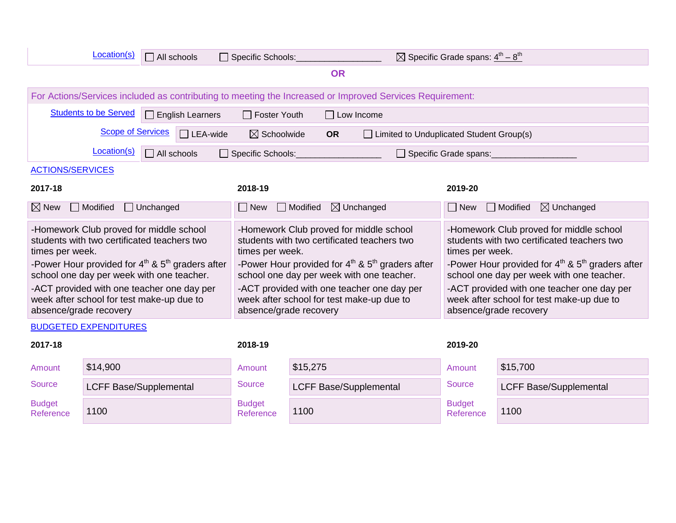|                                                                                                                   | Location(s)                                                                            | $\Box$ All schools                                                                                      |                                                                                                                   | Specific Schools:                                                                                                     |                                                                                                                   |                                                                                                          | $\boxtimes$ Specific Grade spans: $4^{\text{th}} - 8^{\text{th}}$                                                     |                                          |
|-------------------------------------------------------------------------------------------------------------------|----------------------------------------------------------------------------------------|---------------------------------------------------------------------------------------------------------|-------------------------------------------------------------------------------------------------------------------|-----------------------------------------------------------------------------------------------------------------------|-------------------------------------------------------------------------------------------------------------------|----------------------------------------------------------------------------------------------------------|-----------------------------------------------------------------------------------------------------------------------|------------------------------------------|
|                                                                                                                   | <b>OR</b>                                                                              |                                                                                                         |                                                                                                                   |                                                                                                                       |                                                                                                                   |                                                                                                          |                                                                                                                       |                                          |
|                                                                                                                   |                                                                                        |                                                                                                         |                                                                                                                   |                                                                                                                       |                                                                                                                   | For Actions/Services included as contributing to meeting the Increased or Improved Services Requirement: |                                                                                                                       |                                          |
|                                                                                                                   | <b>Students to be Served</b>                                                           | $\Box$ English Learners                                                                                 |                                                                                                                   | $\Box$ Foster Youth                                                                                                   |                                                                                                                   | $\Box$ Low Income                                                                                        |                                                                                                                       |                                          |
|                                                                                                                   | <b>Scope of Services</b>                                                               | $\Box$ LEA-wide                                                                                         |                                                                                                                   | $\boxtimes$ Schoolwide                                                                                                | <b>OR</b>                                                                                                         |                                                                                                          | Limited to Unduplicated Student Group(s)                                                                              |                                          |
|                                                                                                                   | Location(s)                                                                            | $\Box$ All schools                                                                                      |                                                                                                                   | Specific Schools:                                                                                                     |                                                                                                                   |                                                                                                          | $\Box$ Specific Grade spans:                                                                                          |                                          |
| <b>ACTIONS/SERVICES</b>                                                                                           |                                                                                        |                                                                                                         |                                                                                                                   |                                                                                                                       |                                                                                                                   |                                                                                                          |                                                                                                                       |                                          |
| 2017-18                                                                                                           |                                                                                        |                                                                                                         |                                                                                                                   | 2018-19                                                                                                               |                                                                                                                   |                                                                                                          | 2019-20                                                                                                               |                                          |
| $\boxtimes$ New                                                                                                   | $\Box$ Modified                                                                        | $\Box$ Unchanged                                                                                        |                                                                                                                   | $\Box$ New                                                                                                            | $\Box$ Modified                                                                                                   | $\boxtimes$ Unchanged                                                                                    | $\Box$ New                                                                                                            | $\boxtimes$ Unchanged<br>$\Box$ Modified |
| times per week.                                                                                                   | -Homework Club proved for middle school<br>students with two certificated teachers two |                                                                                                         |                                                                                                                   | -Homework Club proved for middle school<br>students with two certificated teachers two<br>times per week.             |                                                                                                                   |                                                                                                          | -Homework Club proved for middle school<br>students with two certificated teachers two<br>times per week.             |                                          |
|                                                                                                                   |                                                                                        | -Power Hour provided for $4^{th}$ & $5^{th}$ graders after<br>school one day per week with one teacher. |                                                                                                                   | -Power Hour provided for $4^{\text{th}}$ & $5^{\text{th}}$ graders after<br>school one day per week with one teacher. |                                                                                                                   |                                                                                                          | -Power Hour provided for $4^{\text{th}}$ & $5^{\text{th}}$ graders after<br>school one day per week with one teacher. |                                          |
| -ACT provided with one teacher one day per<br>week after school for test make-up due to<br>absence/grade recovery |                                                                                        |                                                                                                         | -ACT provided with one teacher one day per<br>week after school for test make-up due to<br>absence/grade recovery |                                                                                                                       | -ACT provided with one teacher one day per<br>week after school for test make-up due to<br>absence/grade recovery |                                                                                                          |                                                                                                                       |                                          |
|                                                                                                                   | <b>BUDGETED EXPENDITURES</b>                                                           |                                                                                                         |                                                                                                                   |                                                                                                                       |                                                                                                                   |                                                                                                          |                                                                                                                       |                                          |
| 2017-18                                                                                                           |                                                                                        |                                                                                                         |                                                                                                                   | 2018-19                                                                                                               |                                                                                                                   |                                                                                                          | 2019-20                                                                                                               |                                          |
| Amount                                                                                                            | \$14,900                                                                               |                                                                                                         |                                                                                                                   | Amount                                                                                                                | \$15,275                                                                                                          |                                                                                                          | Amount                                                                                                                | \$15,700                                 |
| <b>Source</b>                                                                                                     | <b>LCFF Base/Supplemental</b>                                                          |                                                                                                         |                                                                                                                   | Source                                                                                                                |                                                                                                                   | <b>LCFF Base/Supplemental</b>                                                                            | <b>Source</b>                                                                                                         | <b>LCFF Base/Supplemental</b>            |
| <b>Budget</b><br>Reference                                                                                        | 1100                                                                                   |                                                                                                         |                                                                                                                   | <b>Budget</b><br>Reference                                                                                            | 1100                                                                                                              |                                                                                                          | <b>Budget</b><br>Reference                                                                                            | 1100                                     |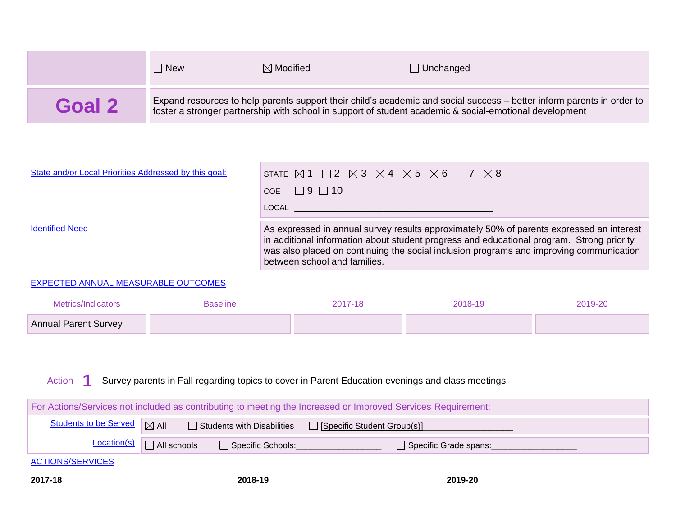|        | New                                                                                                                                                                                                                               | $\boxtimes$ Modified | $\Box$ Unchanged |  |  |
|--------|-----------------------------------------------------------------------------------------------------------------------------------------------------------------------------------------------------------------------------------|----------------------|------------------|--|--|
| Goal 2 | Expand resources to help parents support their child's academic and social success - better inform parents in order to<br>foster a stronger partnership with school in support of student academic & social-emotional development |                      |                  |  |  |

| State and/or Local Priorities Addressed by this goal: | STATE $\boxtimes$ 1 $\Box$ 2 $\boxtimes$ 3 $\boxtimes$ 4 $\boxtimes$ 5 $\boxtimes$ 6 $\Box$ 7 $\boxtimes$ 8                                                                                                                                                                                                      |
|-------------------------------------------------------|------------------------------------------------------------------------------------------------------------------------------------------------------------------------------------------------------------------------------------------------------------------------------------------------------------------|
|                                                       | $\overline{COE}$ $\Box$ 9 $\Box$ 10                                                                                                                                                                                                                                                                              |
|                                                       | LOCAL <b>Andrew Contract Contract Contract Contract</b>                                                                                                                                                                                                                                                          |
| <b>Identified Need</b>                                | As expressed in annual survey results approximately 50% of parents expressed an interest<br>in additional information about student progress and educational program. Strong priority<br>was also placed on continuing the social inclusion programs and improving communication<br>between school and families. |
|                                                       |                                                                                                                                                                                                                                                                                                                  |

#### EXPECTED ANNUAL MEASURABLE OUTCOMES

| Metrics/Indicators          | Baseline | 2017-18 | 2018-19 | 2019-20 |
|-----------------------------|----------|---------|---------|---------|
| <b>Annual Parent Survey</b> |          |         |         |         |

#### Action **1** Survey parents in Fall regarding topics to cover in Parent Education evenings and class meetings

| For Actions/Services not included as contributing to meeting the Increased or Improved Services Requirement: |                    |                     |                       |  |  |  |  |
|--------------------------------------------------------------------------------------------------------------|--------------------|---------------------|-----------------------|--|--|--|--|
| Students to be Served   X All<br>□ Students with Disabilities □ [Specific Student Group(s)]                  |                    |                     |                       |  |  |  |  |
| <b>Location(s)</b>                                                                                           | $\Box$ All schools | □ Specific Schools: | Specific Grade spans: |  |  |  |  |
| <b>ACTIONS/SERVICES</b>                                                                                      |                    |                     |                       |  |  |  |  |
| 2017-18                                                                                                      |                    | 2018-19             | 2019-20               |  |  |  |  |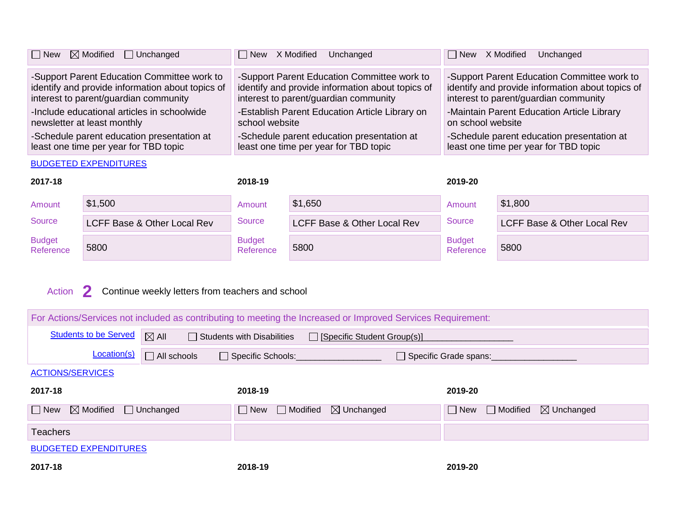| $\Box$ New<br>$\boxtimes$ Modified $\Box$ Unchanged | New X Modified<br>Unchanged                      | New X Modified Unchanged                         |
|-----------------------------------------------------|--------------------------------------------------|--------------------------------------------------|
| -Support Parent Education Committee work to         | -Support Parent Education Committee work to      | -Support Parent Education Committee work to      |
| identify and provide information about topics of    | identify and provide information about topics of | identify and provide information about topics of |
| interest to parent/guardian community               | interest to parent/guardian community            | interest to parent/guardian community            |
| -Include educational articles in schoolwide         | -Establish Parent Education Article Library on   | -Maintain Parent Education Article Library       |
| newsletter at least monthly                         | school website                                   | on school website                                |
| -Schedule parent education presentation at          | -Schedule parent education presentation at       | -Schedule parent education presentation at       |
| least one time per year for TBD topic               | least one time per year for TBD topic            | least one time per year for TBD topic            |

#### BUDGETED EXPENDITURES

| 2017-18                    |                             | 2018-19                    |                             | 2019-20                    |                             |
|----------------------------|-----------------------------|----------------------------|-----------------------------|----------------------------|-----------------------------|
| Amount                     | \$1,500                     | Amount                     | \$1,650                     | Amount                     | \$1,800                     |
| Source                     | LCFF Base & Other Local Rev | Source                     | LCFF Base & Other Local Rev | Source                     | LCFF Base & Other Local Rev |
| <b>Budget</b><br>Reference | 5800                        | <b>Budget</b><br>Reference | 5800                        | <b>Budget</b><br>Reference | 5800                        |

# Action **2** Continue weekly letters from teachers and school

| For Actions/Services not included as contributing to meeting the Increased or Improved Services Requirement: |                  |                                                                    |            |                                          |  |  |  |  |  |
|--------------------------------------------------------------------------------------------------------------|------------------|--------------------------------------------------------------------|------------|------------------------------------------|--|--|--|--|--|
| <b>Students to be Served</b>                                                                                 | $\boxtimes$ All  | $\Box$ Students with Disabilities<br>□ [Specific Student Group(s)] |            |                                          |  |  |  |  |  |
| Location(s)                                                                                                  | All schools      | □ Specific Schools:<br>Specific Grade spans:                       |            |                                          |  |  |  |  |  |
| <b>ACTIONS/SERVICES</b>                                                                                      |                  |                                                                    |            |                                          |  |  |  |  |  |
| 2017-18                                                                                                      |                  | 2018-19                                                            | 2019-20    |                                          |  |  |  |  |  |
| $\boxtimes$ Modified<br>$\Box$ New                                                                           | $\Box$ Unchanged | $\Box$ Modified<br>$\boxtimes$ Unchanged<br>$\Box$ New             | $\Box$ New | $\boxtimes$ Unchanged<br>$\Box$ Modified |  |  |  |  |  |
| <b>Teachers</b>                                                                                              |                  |                                                                    |            |                                          |  |  |  |  |  |
| <b>BUDGETED EXPENDITURES</b>                                                                                 |                  |                                                                    |            |                                          |  |  |  |  |  |
| 2017-18                                                                                                      |                  | 2018-19                                                            | 2019-20    |                                          |  |  |  |  |  |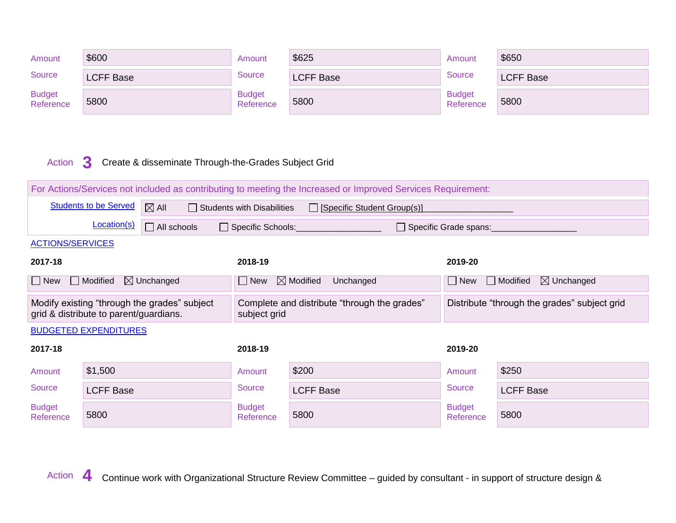| Amount                     | \$600            | Amount                     | \$625            | Amount                     | \$650            |
|----------------------------|------------------|----------------------------|------------------|----------------------------|------------------|
| Source                     | <b>LCFF Base</b> | Source                     | <b>LCFF Base</b> | Source                     | <b>LCFF Base</b> |
| <b>Budget</b><br>Reference | 5800             | <b>Budget</b><br>Reference | 5800             | <b>Budget</b><br>Reference | 5800             |



| For Actions/Services not included as contributing to meeting the Increased or Improved Services Requirement: |                                                                                                                       |                                              |                                                              |                                   |                                              |                                          |  |  |
|--------------------------------------------------------------------------------------------------------------|-----------------------------------------------------------------------------------------------------------------------|----------------------------------------------|--------------------------------------------------------------|-----------------------------------|----------------------------------------------|------------------------------------------|--|--|
|                                                                                                              | <b>Students to be Served</b><br>$\boxtimes$ All<br>$\Box$ Students with Disabilities<br>□ [Specific Student Group(s)] |                                              |                                                              |                                   |                                              |                                          |  |  |
|                                                                                                              | Location(s)                                                                                                           | $\Box$ All schools                           | Specific Schools:                                            |                                   | Specific Grade spans:                        |                                          |  |  |
| <b>ACTIONS/SERVICES</b>                                                                                      |                                                                                                                       |                                              |                                                              |                                   |                                              |                                          |  |  |
| 2017-18                                                                                                      | 2018-19<br>2019-20                                                                                                    |                                              |                                                              |                                   |                                              |                                          |  |  |
| $\Box$ New                                                                                                   | $\Box$ Modified                                                                                                       | $\boxtimes$ Unchanged                        | New                                                          | $\boxtimes$ Modified<br>Unchanged | $\Box$ New                                   | $\Box$ Modified<br>$\boxtimes$ Unchanged |  |  |
|                                                                                                              | grid & distribute to parent/guardians.                                                                                | Modify existing "through the grades" subject | Complete and distribute "through the grades"<br>subject grid |                                   | Distribute "through the grades" subject grid |                                          |  |  |
|                                                                                                              | <b>BUDGETED EXPENDITURES</b>                                                                                          |                                              |                                                              |                                   |                                              |                                          |  |  |
| 2017-18                                                                                                      |                                                                                                                       |                                              | 2018-19                                                      |                                   | 2019-20                                      |                                          |  |  |
| Amount                                                                                                       | \$1,500                                                                                                               |                                              | Amount                                                       | \$200                             | Amount                                       | \$250                                    |  |  |
| Source                                                                                                       | <b>LCFF Base</b>                                                                                                      |                                              | <b>Source</b>                                                | <b>LCFF Base</b>                  | <b>Source</b>                                | <b>LCFF Base</b>                         |  |  |
| <b>Budget</b><br>Reference                                                                                   | 5800                                                                                                                  |                                              | <b>Budget</b><br>Reference                                   | 5800                              | <b>Budget</b><br>Reference                   | 5800                                     |  |  |

Action **4** Continue work with Organizational Structure Review Committee – guided by consultant - in support of structure design &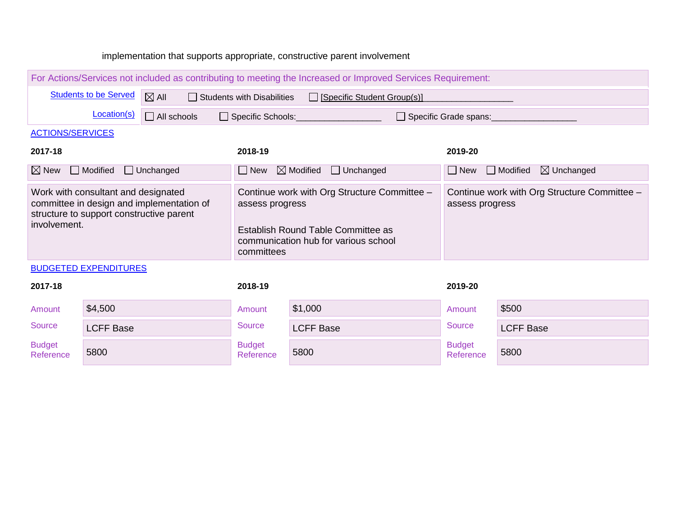#### implementation that supports appropriate, constructive parent involvement

| For Actions/Services not included as contributing to meeting the Increased or Improved Services Requirement:                                 |                    |                                                                                                                                                             |                                                                 |  |  |  |  |  |  |  |  |
|----------------------------------------------------------------------------------------------------------------------------------------------|--------------------|-------------------------------------------------------------------------------------------------------------------------------------------------------------|-----------------------------------------------------------------|--|--|--|--|--|--|--|--|
| <b>Students to be Served</b>                                                                                                                 | $\boxtimes$ All    | $\Box$ Students with Disabilities<br>□ [Specific Student Group(s)]                                                                                          |                                                                 |  |  |  |  |  |  |  |  |
| Location(s)                                                                                                                                  | $\Box$ All schools | Specific Schools:<br>Specific Grade spans:                                                                                                                  |                                                                 |  |  |  |  |  |  |  |  |
| <b>ACTIONS/SERVICES</b>                                                                                                                      |                    |                                                                                                                                                             |                                                                 |  |  |  |  |  |  |  |  |
| 2017-18                                                                                                                                      |                    | 2018-19                                                                                                                                                     | 2019-20                                                         |  |  |  |  |  |  |  |  |
| $\boxtimes$ New<br>$\Box$ Modified                                                                                                           | $\Box$ Unchanged   | $\Box$ Unchanged<br>$\boxtimes$ Modified<br>$\Box$ New                                                                                                      | $\boxtimes$ Unchanged<br>$\Box$ Modified<br>$\Box$ New          |  |  |  |  |  |  |  |  |
| Work with consultant and designated<br>committee in design and implementation of<br>structure to support constructive parent<br>involvement. |                    | Continue work with Org Structure Committee -<br>assess progress<br>Establish Round Table Committee as<br>communication hub for various school<br>committees | Continue work with Org Structure Committee -<br>assess progress |  |  |  |  |  |  |  |  |
| <b>BUDGETED EXPENDITURES</b>                                                                                                                 |                    |                                                                                                                                                             |                                                                 |  |  |  |  |  |  |  |  |
| 2017-18                                                                                                                                      |                    | 2018-19                                                                                                                                                     | 2019-20                                                         |  |  |  |  |  |  |  |  |

| Amount                     | \$4,500          | Amount                     | \$1,000          | Amount                     | \$500            |
|----------------------------|------------------|----------------------------|------------------|----------------------------|------------------|
| Source                     | <b>LCFF Base</b> | Source                     | <b>LCFF Base</b> | <b>Source</b>              | <b>LCFF Base</b> |
| <b>Budget</b><br>Reference | 5800             | <b>Budget</b><br>Reference | 5800             | <b>Budget</b><br>Reference | 5800             |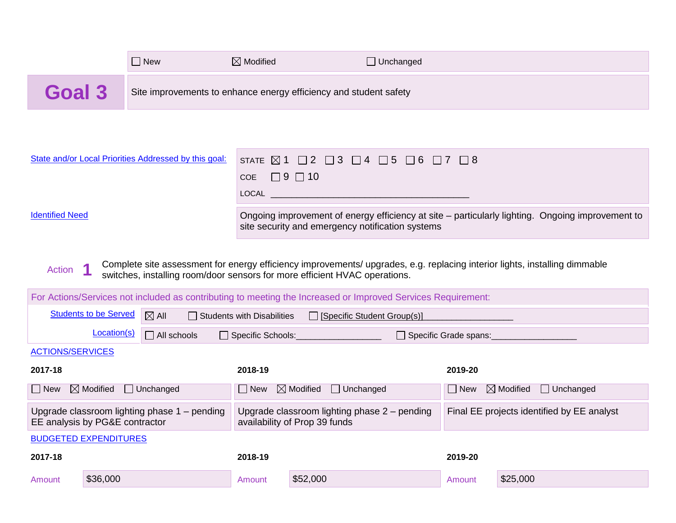|        | $\Box$ New | $\boxtimes$ Modified                                              | $\Box$ Unchanged |
|--------|------------|-------------------------------------------------------------------|------------------|
| Goal 3 |            | Site improvements to enhance energy efficiency and student safety |                  |
|        |            |                                                                   |                  |

| State and/or Local Priorities Addressed by this goal: | STATE $\boxtimes$ 1 $\Box$ 2 $\Box$ 3 $\Box$ 4 $\Box$ 5 $\Box$ 6 $\Box$ 7 $\Box$ 8                                                                   |
|-------------------------------------------------------|------------------------------------------------------------------------------------------------------------------------------------------------------|
|                                                       | COE $\Box$ 9 $\Box$ 10                                                                                                                               |
|                                                       | <b>LOCAL Example 1999</b>                                                                                                                            |
| <b>Identified Need</b>                                | Ongoing improvement of energy efficiency at site - particularly lighting. Ongoing improvement to<br>site security and emergency notification systems |

Action **1** Complete site assessment for energy efficiency improvements/ upgrades, e.g. replacing interior lights, installing dimmable switches, installing room/door sensors for more efficient HVAC operations.

| For Actions/Services not included as contributing to meeting the Increased or Improved Services Requirement: |                                |                                                |                                                                    |                                                                                 |                       |                                                 |  |  |
|--------------------------------------------------------------------------------------------------------------|--------------------------------|------------------------------------------------|--------------------------------------------------------------------|---------------------------------------------------------------------------------|-----------------------|-------------------------------------------------|--|--|
|                                                                                                              | <b>Students to be Served</b>   | $\boxtimes$ All                                | $\Box$ Students with Disabilities<br>□ [Specific Student Group(s)] |                                                                                 |                       |                                                 |  |  |
|                                                                                                              | Location(s)                    | $\Box$ All schools<br>Specific Schools:        |                                                                    |                                                                                 | Specific Grade spans: |                                                 |  |  |
| <b>ACTIONS/SERVICES</b>                                                                                      |                                |                                                |                                                                    |                                                                                 |                       |                                                 |  |  |
| 2017-18                                                                                                      |                                |                                                | 2018-19                                                            |                                                                                 | 2019-20               |                                                 |  |  |
| New                                                                                                          | $\boxtimes$ Modified           | $\Box$ Unchanged                               | $\Box$ New                                                         | $\boxtimes$ Modified<br>$\Box$ Unchanged                                        |                       | $\boxtimes$ Modified<br>$\Box$ Unchanged<br>New |  |  |
|                                                                                                              | EE analysis by PG&E contractor | Upgrade classroom lighting phase $1$ – pending |                                                                    | Upgrade classroom lighting phase $2$ – pending<br>availability of Prop 39 funds |                       | Final EE projects identified by EE analyst      |  |  |
|                                                                                                              | <b>BUDGETED EXPENDITURES</b>   |                                                |                                                                    |                                                                                 |                       |                                                 |  |  |
| 2017-18                                                                                                      |                                |                                                | 2018-19                                                            |                                                                                 | 2019-20               |                                                 |  |  |
| Amount                                                                                                       | \$36,000                       |                                                | Amount                                                             | \$52,000                                                                        | Amount                | \$25,000                                        |  |  |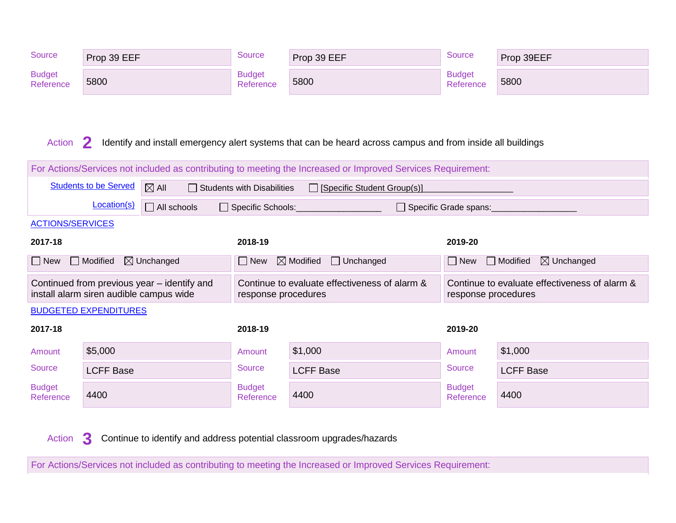| Source                     | Prop 39 EEF | Source                     | Prop 39 EEF | Source                     | Prop 39EEF |
|----------------------------|-------------|----------------------------|-------------|----------------------------|------------|
| <b>Budget</b><br>Reference | 5800        | <b>Budget</b><br>Reference | 5800        | <b>Budget</b><br>Reference | 5800       |

#### Action **2** Identify and install emergency alert systems that can be heard across campus and from inside all buildings

| For Actions/Services not included as contributing to meeting the Increased or Improved Services Requirement: |                                                                                                                       |                                             |                                                                      |                                          |                                                                      |                  |  |  |
|--------------------------------------------------------------------------------------------------------------|-----------------------------------------------------------------------------------------------------------------------|---------------------------------------------|----------------------------------------------------------------------|------------------------------------------|----------------------------------------------------------------------|------------------|--|--|
|                                                                                                              | <b>Students to be Served</b><br>$\boxtimes$ All<br>$\Box$ Students with Disabilities<br>□ [Specific Student Group(s)] |                                             |                                                                      |                                          |                                                                      |                  |  |  |
|                                                                                                              | Location(s)                                                                                                           | $\Box$ All schools                          | Specific Schools:                                                    |                                          | Specific Grade spans:                                                |                  |  |  |
| <b>ACTIONS/SERVICES</b>                                                                                      |                                                                                                                       |                                             |                                                                      |                                          |                                                                      |                  |  |  |
| 2017-18                                                                                                      | 2018-19<br>2019-20                                                                                                    |                                             |                                                                      |                                          |                                                                      |                  |  |  |
| $\vert$ New                                                                                                  | $\Box$ Modified<br>$\boxtimes$ Unchanged                                                                              |                                             |                                                                      | $\boxtimes$ Modified<br>$\Box$ Unchanged | $\boxtimes$ Unchanged<br>□ Modified<br>  New                         |                  |  |  |
|                                                                                                              | install alarm siren audible campus wide                                                                               | Continued from previous year – identify and | Continue to evaluate effectiveness of alarm &<br>response procedures |                                          | Continue to evaluate effectiveness of alarm &<br>response procedures |                  |  |  |
|                                                                                                              | <b>BUDGETED EXPENDITURES</b>                                                                                          |                                             |                                                                      |                                          |                                                                      |                  |  |  |
| 2017-18                                                                                                      |                                                                                                                       |                                             | 2018-19                                                              |                                          | 2019-20                                                              |                  |  |  |
| Amount                                                                                                       | \$5,000                                                                                                               |                                             | Amount                                                               | \$1,000                                  | Amount                                                               | \$1,000          |  |  |
| <b>Source</b>                                                                                                | <b>LCFF Base</b>                                                                                                      |                                             | <b>Source</b>                                                        | <b>LCFF Base</b>                         | Source                                                               | <b>LCFF Base</b> |  |  |
| <b>Budget</b><br>Reference                                                                                   | 4400                                                                                                                  |                                             | <b>Budget</b><br>Reference                                           | 4400                                     | <b>Budget</b><br>Reference                                           | 4400             |  |  |

Action **3** Continue to identify and address potential classroom upgrades/hazards

For Actions/Services not included as contributing to meeting the Increased or Improved Services Requirement: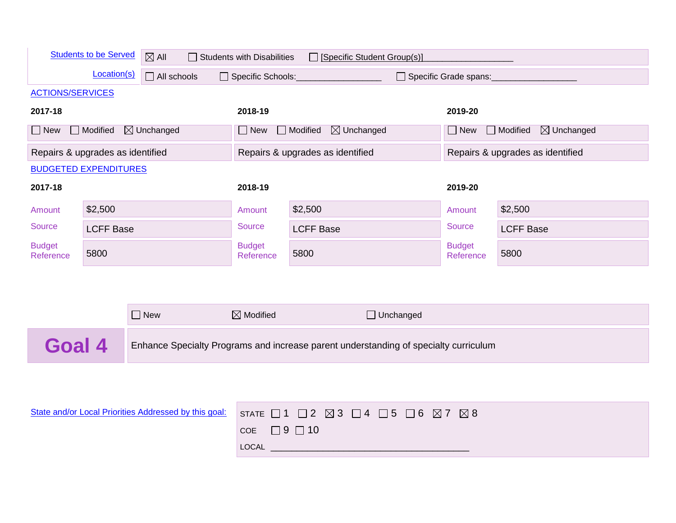|                                                       | <b>Students to be Served</b> | $\boxtimes$ All<br>$\Box$ Students with Disabilities<br>□ [Specific Student Group(s)] |                            |                                                                                              |                            |                                   |
|-------------------------------------------------------|------------------------------|---------------------------------------------------------------------------------------|----------------------------|----------------------------------------------------------------------------------------------|----------------------------|-----------------------------------|
|                                                       | Location(s)                  | $\Box$ All schools                                                                    |                            | □ Specific Schools:<br>□ Specific Grade spans:                                               |                            |                                   |
| <b>ACTIONS/SERVICES</b>                               |                              |                                                                                       |                            |                                                                                              |                            |                                   |
| 2017-18                                               |                              |                                                                                       | 2018-19                    |                                                                                              | 2019-20                    |                                   |
| $\Box$ New                                            | $\Box$ Modified              | $\boxtimes$ Unchanged                                                                 | $\Box$ New                 | $\Box$ Modified<br>$\boxtimes$ Unchanged                                                     | $\Box$ New                 | Modified<br>$\boxtimes$ Unchanged |
| Repairs & upgrades as identified                      |                              |                                                                                       |                            | Repairs & upgrades as identified                                                             |                            | Repairs & upgrades as identified  |
| <b>BUDGETED EXPENDITURES</b>                          |                              |                                                                                       |                            |                                                                                              |                            |                                   |
| 2017-18                                               |                              |                                                                                       | 2018-19                    |                                                                                              | 2019-20                    |                                   |
| Amount                                                | \$2,500                      |                                                                                       | Amount                     | \$2,500                                                                                      | Amount                     | \$2,500                           |
| <b>Source</b>                                         | <b>LCFF Base</b>             |                                                                                       | <b>Source</b>              | <b>LCFF Base</b>                                                                             | <b>Source</b>              | <b>LCFF Base</b>                  |
| <b>Budget</b><br>Reference                            | 5800                         |                                                                                       | <b>Budget</b><br>Reference | 5800                                                                                         | <b>Budget</b><br>Reference | 5800                              |
|                                                       |                              |                                                                                       |                            |                                                                                              |                            |                                   |
|                                                       |                              |                                                                                       |                            |                                                                                              |                            |                                   |
|                                                       |                              | $\Box$ New                                                                            | $\boxtimes$ Modified       | $\Box$ Unchanged                                                                             |                            |                                   |
| Goal 4                                                |                              |                                                                                       |                            | Enhance Specialty Programs and increase parent understanding of specialty curriculum         |                            |                                   |
|                                                       |                              |                                                                                       |                            |                                                                                              |                            |                                   |
|                                                       |                              |                                                                                       |                            |                                                                                              |                            |                                   |
| State and/or Local Priorities Addressed by this goal: |                              |                                                                                       |                            | STATE $\Box$ 1 $\Box$ 2 $\boxtimes$ 3 $\Box$ 4 $\Box$ 5 $\Box$ 6 $\boxtimes$ 7 $\boxtimes$ 8 |                            |                                   |
|                                                       |                              |                                                                                       | COE                        | $\Box$ 9 $\Box$ 10                                                                           |                            |                                   |
|                                                       |                              |                                                                                       | LOCAL                      |                                                                                              |                            |                                   |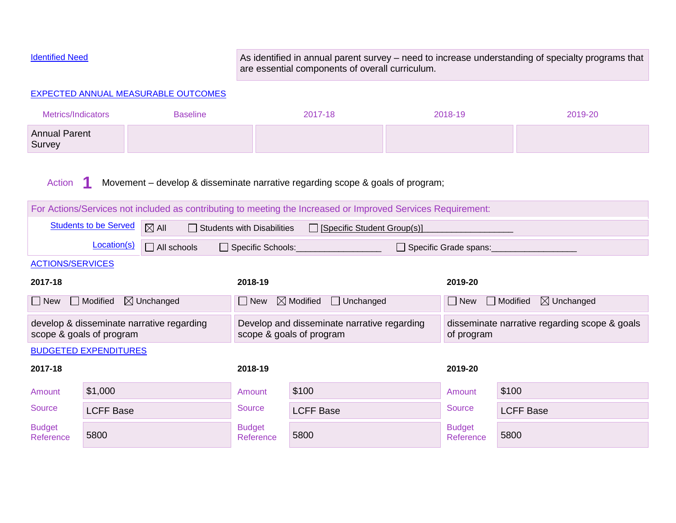EXPECTED ANNUAL MEASURABLE OUTCOMES

Identified Need **As identified in annual parent survey** – need to increase understanding of specialty programs that are essential components of overall curriculum.

| <b>Metrics/Indicators</b>                                                                |                              | <b>Baseline</b>                                                                                              |                                                                         | 2017-18                       |  | 2018-19                                                     | 2019-20          |  |
|------------------------------------------------------------------------------------------|------------------------------|--------------------------------------------------------------------------------------------------------------|-------------------------------------------------------------------------|-------------------------------|--|-------------------------------------------------------------|------------------|--|
| <b>Annual Parent</b><br>Survey                                                           |                              |                                                                                                              |                                                                         |                               |  |                                                             |                  |  |
| Movement – develop & disseminate narrative regarding scope & goals of program;<br>Action |                              |                                                                                                              |                                                                         |                               |  |                                                             |                  |  |
|                                                                                          |                              | For Actions/Services not included as contributing to meeting the Increased or Improved Services Requirement: |                                                                         |                               |  |                                                             |                  |  |
|                                                                                          | <b>Students to be Served</b> | $\boxtimes$ All                                                                                              | <b>Students with Disabilities</b>                                       | □ [Specific Student Group(s)] |  |                                                             |                  |  |
|                                                                                          | Location(s)                  | $\Box$ All schools                                                                                           | Specific Schools:                                                       |                               |  | Specific Grade spans:                                       |                  |  |
| <b>ACTIONS/SERVICES</b>                                                                  |                              |                                                                                                              |                                                                         |                               |  |                                                             |                  |  |
| 2017-18                                                                                  |                              |                                                                                                              | 2018-19                                                                 |                               |  | 2019-20                                                     |                  |  |
| New                                                                                      | $\Box$ Modified              | $\boxtimes$ Unchanged                                                                                        | $\boxtimes$ Modified<br>$\Box$ Unchanged<br>$\Box$ New                  |                               |  | $\Box$ Modified<br>$\boxtimes$ Unchanged<br>New             |                  |  |
|                                                                                          | scope & goals of program     | develop & disseminate narrative regarding                                                                    | Develop and disseminate narrative regarding<br>scope & goals of program |                               |  | disseminate narrative regarding scope & goals<br>of program |                  |  |
|                                                                                          | <b>BUDGETED EXPENDITURES</b> |                                                                                                              |                                                                         |                               |  |                                                             |                  |  |
| 2017-18                                                                                  |                              |                                                                                                              | 2018-19                                                                 |                               |  | 2019-20                                                     |                  |  |
| Amount                                                                                   | \$1,000                      |                                                                                                              | Amount                                                                  | \$100                         |  | Amount                                                      | \$100            |  |
| Source                                                                                   | <b>LCFF Base</b>             |                                                                                                              | <b>Source</b>                                                           | <b>LCFF Base</b>              |  | <b>Source</b>                                               | <b>LCFF Base</b> |  |
| <b>Budget</b><br>Reference                                                               | 5800                         |                                                                                                              | <b>Budget</b><br>Reference                                              | 5800                          |  | <b>Budget</b><br>Reference                                  | 5800             |  |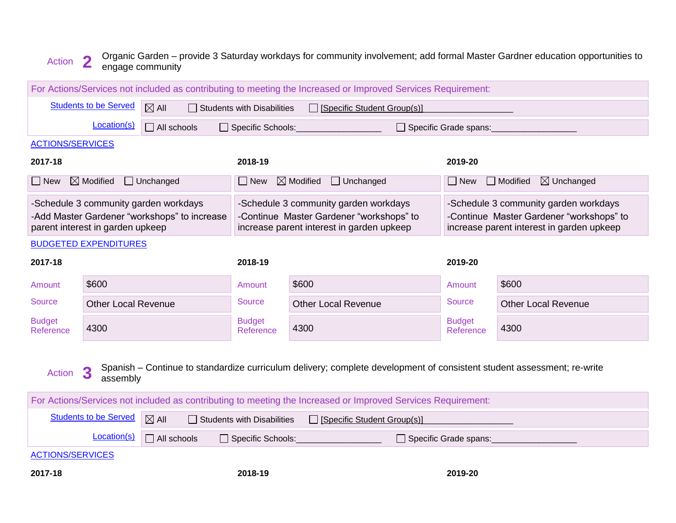#### Action **2** Organic Garden – provide 3 Saturday workdays for community involvement; add formal Master Gardner education opportunities to engage community

|                                                                                                                                                   |                                                                                 |                                                                                       |                                                                                                                                | For Actions/Services not included as contributing to meeting the Increased or Improved Services Requirement: |                                                                                                                                |                                          |
|---------------------------------------------------------------------------------------------------------------------------------------------------|---------------------------------------------------------------------------------|---------------------------------------------------------------------------------------|--------------------------------------------------------------------------------------------------------------------------------|--------------------------------------------------------------------------------------------------------------|--------------------------------------------------------------------------------------------------------------------------------|------------------------------------------|
| <b>Students to be Served</b><br>$\boxtimes$ All<br>$\Box$ Students with Disabilities<br>□ [Specific Student Group(s)]                             |                                                                                 |                                                                                       |                                                                                                                                |                                                                                                              |                                                                                                                                |                                          |
|                                                                                                                                                   | Location(s)<br>$\Box$ All schools<br>Specific Schools:<br>Specific Grade spans: |                                                                                       |                                                                                                                                |                                                                                                              |                                                                                                                                |                                          |
| <b>ACTIONS/SERVICES</b>                                                                                                                           |                                                                                 |                                                                                       |                                                                                                                                |                                                                                                              |                                                                                                                                |                                          |
| 2017-18                                                                                                                                           |                                                                                 |                                                                                       | 2018-19                                                                                                                        |                                                                                                              | 2019-20                                                                                                                        |                                          |
| $\Box$ New                                                                                                                                        | $\boxtimes$ Modified                                                            | $\Box$ Unchanged                                                                      | $\Box$ New                                                                                                                     | $\boxtimes$ Modified<br>$\Box$ Unchanged                                                                     | $\Box$ New                                                                                                                     | $\boxtimes$ Unchanged<br>$\Box$ Modified |
|                                                                                                                                                   | parent interest in garden upkeep                                                | -Schedule 3 community garden workdays<br>-Add Master Gardener "workshops" to increase | -Schedule 3 community garden workdays<br>-Continue Master Gardener "workshops" to<br>increase parent interest in garden upkeep |                                                                                                              | -Schedule 3 community garden workdays<br>-Continue Master Gardener "workshops" to<br>increase parent interest in garden upkeep |                                          |
|                                                                                                                                                   | <b>BUDGETED EXPENDITURES</b>                                                    |                                                                                       |                                                                                                                                |                                                                                                              |                                                                                                                                |                                          |
| 2017-18                                                                                                                                           |                                                                                 |                                                                                       | 2018-19                                                                                                                        |                                                                                                              | 2019-20                                                                                                                        |                                          |
| Amount                                                                                                                                            | \$600                                                                           |                                                                                       | Amount                                                                                                                         | \$600                                                                                                        | Amount                                                                                                                         | \$600                                    |
| <b>Source</b>                                                                                                                                     | <b>Other Local Revenue</b>                                                      |                                                                                       | <b>Source</b>                                                                                                                  | <b>Other Local Revenue</b>                                                                                   | Source                                                                                                                         | <b>Other Local Revenue</b>               |
| <b>Budget</b><br>Reference                                                                                                                        | 4300                                                                            |                                                                                       | <b>Budget</b><br>Reference                                                                                                     | 4300                                                                                                         | <b>Budget</b><br>Reference                                                                                                     | 4300                                     |
| Spanish – Continue to standardize curriculum delivery; complete development of consistent student assessment; re-write<br>3<br>Action<br>assembly |                                                                                 |                                                                                       |                                                                                                                                |                                                                                                              |                                                                                                                                |                                          |
|                                                                                                                                                   |                                                                                 |                                                                                       |                                                                                                                                | For Actions/Services not included as contributing to meeting the Increased or Improved Services Requirement: |                                                                                                                                |                                          |
|                                                                                                                                                   | <b>Students to be Served</b>                                                    | $\boxtimes$ All                                                                       | $\Box$ Students with Disabilities                                                                                              | $\Box$ [Specific Student Group(s)]                                                                           |                                                                                                                                |                                          |
| Location(s)<br>$\Box$ All schools                                                                                                                 |                                                                                 |                                                                                       | Specific Schools:                                                                                                              |                                                                                                              | Specific Grade spans:                                                                                                          |                                          |
| <b>ACTIONS/SERVICES</b>                                                                                                                           |                                                                                 |                                                                                       |                                                                                                                                |                                                                                                              |                                                                                                                                |                                          |
| 2017-18                                                                                                                                           |                                                                                 |                                                                                       | 2018-19                                                                                                                        |                                                                                                              | 2019-20                                                                                                                        |                                          |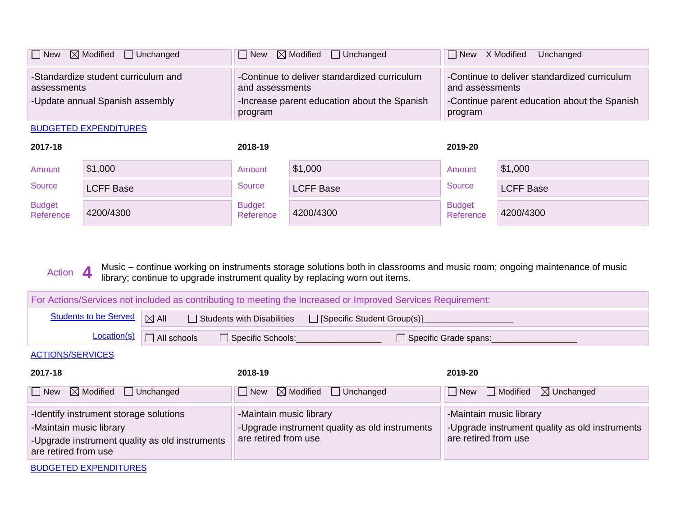| $\Box$ New                                                                            | $\boxtimes$ Modified $\Box$ Unchanged | $\Box$ New<br>$\boxtimes$ Modified $\Box$ Unchanged                                                                        |                  | X Modified<br>  New<br>Unchanged                                                                                           |                  |
|---------------------------------------------------------------------------------------|---------------------------------------|----------------------------------------------------------------------------------------------------------------------------|------------------|----------------------------------------------------------------------------------------------------------------------------|------------------|
| -Standardize student curriculum and<br>assessments<br>-Update annual Spanish assembly |                                       | -Continue to deliver standardized curriculum<br>and assessments<br>-Increase parent education about the Spanish<br>program |                  | -Continue to deliver standardized curriculum<br>and assessments<br>-Continue parent education about the Spanish<br>program |                  |
|                                                                                       | <b>BUDGETED EXPENDITURES</b>          |                                                                                                                            |                  |                                                                                                                            |                  |
| 2017-18                                                                               |                                       |                                                                                                                            |                  |                                                                                                                            |                  |
|                                                                                       |                                       | 2018-19                                                                                                                    |                  | 2019-20                                                                                                                    |                  |
| Amount                                                                                | \$1,000                               | Amount                                                                                                                     | \$1,000          | Amount                                                                                                                     | \$1,000          |
| <b>Source</b>                                                                         | <b>LCFF Base</b>                      | Source                                                                                                                     | <b>LCFF Base</b> | <b>Source</b>                                                                                                              | <b>LCFF Base</b> |

Action **4** Music – continue working on instruments storage solutions both in classrooms and music room; ongoing maintenance of music library; continue to upgrade instrument quality by replacing worn out items.

| For Actions/Services not included as contributing to meeting the Increased or Improved Services Requirement:                                |                    |                                                                                                   |                                                                                                   |  |  |
|---------------------------------------------------------------------------------------------------------------------------------------------|--------------------|---------------------------------------------------------------------------------------------------|---------------------------------------------------------------------------------------------------|--|--|
| <b>Students to be Served</b>                                                                                                                | $\boxtimes$ All    | $\Box$ Students with Disabilities<br>□ [Specific Student Group(s)]                                |                                                                                                   |  |  |
| Location(s)                                                                                                                                 | $\Box$ All schools | □ Specific Schools:                                                                               | Specific Grade spans:                                                                             |  |  |
| <b>ACTIONS/SERVICES</b>                                                                                                                     |                    |                                                                                                   |                                                                                                   |  |  |
| 2017-18                                                                                                                                     |                    | 2018-19                                                                                           | 2019-20                                                                                           |  |  |
| $\boxtimes$ Modified<br>  New                                                                                                               | $\Box$ Unchanged   | $\boxtimes$ Modified<br>$\Box$ Unchanged<br>$\Box$ New                                            | Modified<br>$\boxtimes$ Unchanged<br>  New<br>$\blacksquare$                                      |  |  |
| -Identify instrument storage solutions<br>-Maintain music library<br>-Upgrade instrument quality as old instruments<br>are retired from use |                    | -Maintain music library<br>-Upgrade instrument quality as old instruments<br>are retired from use | -Maintain music library<br>-Upgrade instrument quality as old instruments<br>are retired from use |  |  |

BUDGETED EXPENDITURES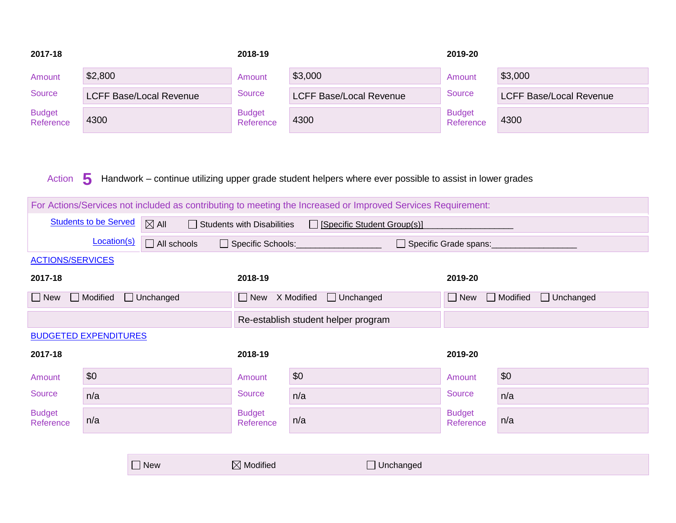| 2017-18                                                                                                                                                                                                                                |                              |                                | 2018-19                             |                                | 2019-20                    |                                     |
|----------------------------------------------------------------------------------------------------------------------------------------------------------------------------------------------------------------------------------------|------------------------------|--------------------------------|-------------------------------------|--------------------------------|----------------------------|-------------------------------------|
| Amount                                                                                                                                                                                                                                 | \$2,800                      |                                | Amount                              | \$3,000                        | Amount                     | \$3,000                             |
| Source                                                                                                                                                                                                                                 |                              | <b>LCFF Base/Local Revenue</b> | <b>Source</b>                       | <b>LCFF Base/Local Revenue</b> | <b>Source</b>              | <b>LCFF Base/Local Revenue</b>      |
| <b>Budget</b><br>Reference                                                                                                                                                                                                             | 4300                         |                                | <b>Budget</b><br>Reference          | 4300                           | <b>Budget</b><br>Reference | 4300                                |
| Handwork - continue utilizing upper grade student helpers where ever possible to assist in lower grades<br>5<br>Action<br>For Actions/Services not included as contributing to meeting the Increased or Improved Services Requirement: |                              |                                |                                     |                                |                            |                                     |
|                                                                                                                                                                                                                                        | <b>Students to be Served</b> |                                |                                     |                                |                            |                                     |
|                                                                                                                                                                                                                                        | Location(s)                  | $\boxtimes$ All                | $\Box$ Students with Disabilities   | □ [Specific Student Group(s)]  |                            |                                     |
| <b>ACTIONS/SERVICES</b>                                                                                                                                                                                                                |                              | $\Box$ All schools             | Specific Schools:                   |                                | □ Specific Grade spans:    |                                     |
| 2017-18                                                                                                                                                                                                                                |                              |                                | 2018-19                             |                                | 2019-20                    |                                     |
| $\Box$ New                                                                                                                                                                                                                             | Modified                     | $\Box$ Unchanged               | New X Modified                      | $\Box$ Unchanged               | $\Box$ New                 | $\Box$ Modified<br>$\Box$ Unchanged |
|                                                                                                                                                                                                                                        |                              |                                | Re-establish student helper program |                                |                            |                                     |
| <b>BUDGETED EXPENDITURES</b>                                                                                                                                                                                                           |                              |                                |                                     |                                |                            |                                     |
| 2017-18                                                                                                                                                                                                                                |                              |                                | 2018-19                             |                                | 2019-20                    |                                     |
| Amount                                                                                                                                                                                                                                 | \$0                          |                                | Amount                              | \$0                            | Amount                     | \$0                                 |
| <b>Source</b>                                                                                                                                                                                                                          | n/a                          |                                | <b>Source</b>                       | n/a                            | <b>Source</b>              | n/a                                 |
| <b>Budget</b><br>Reference                                                                                                                                                                                                             | n/a                          |                                | <b>Budget</b><br>Reference          | n/a                            | <b>Budget</b><br>Reference | n/a                                 |
|                                                                                                                                                                                                                                        |                              |                                |                                     |                                |                            |                                     |
|                                                                                                                                                                                                                                        |                              | $\Box$ New                     | $\boxtimes$ Modified                | □ Unchanged                    |                            |                                     |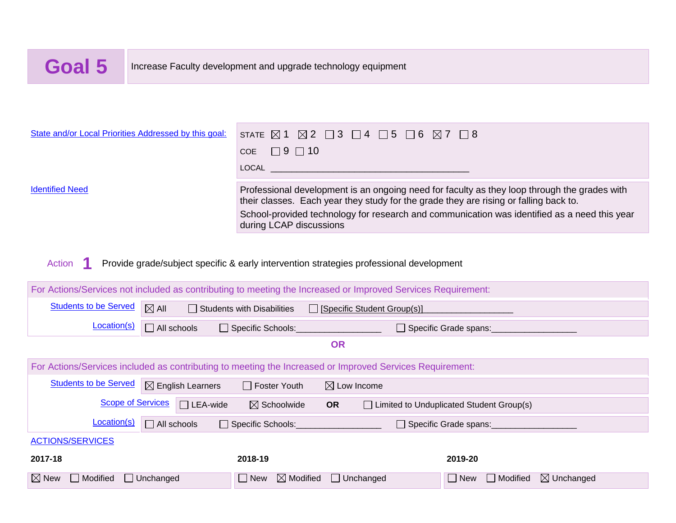

| State and/or Local Priorities Addressed by this goal:                                                        | STATE $\boxtimes$<br>$\boxtimes$ 2                                                                                                                                                                                                                                                                               | $\Box$ 3<br>5<br>$\Box$ 6<br>$\mathcal{L}$<br>$\boxtimes$ 7<br>$ $   4     |  |  |  |
|--------------------------------------------------------------------------------------------------------------|------------------------------------------------------------------------------------------------------------------------------------------------------------------------------------------------------------------------------------------------------------------------------------------------------------------|----------------------------------------------------------------------------|--|--|--|
|                                                                                                              | $\Box$ 9 $\Box$ 10<br><b>COE</b>                                                                                                                                                                                                                                                                                 |                                                                            |  |  |  |
|                                                                                                              | <b>LOCAL</b>                                                                                                                                                                                                                                                                                                     |                                                                            |  |  |  |
| <b>Identified Need</b>                                                                                       | Professional development is an ongoing need for faculty as they loop through the grades with<br>their classes. Each year they study for the grade they are rising or falling back to.<br>School-provided technology for research and communication was identified as a need this year<br>during LCAP discussions |                                                                            |  |  |  |
| Action                                                                                                       | Provide grade/subject specific & early intervention strategies professional development                                                                                                                                                                                                                          |                                                                            |  |  |  |
| For Actions/Services not included as contributing to meeting the Increased or Improved Services Requirement: |                                                                                                                                                                                                                                                                                                                  |                                                                            |  |  |  |
| <b>Students to be Served</b><br>$\boxtimes$ All                                                              | $\Box$ Students with Disabilities                                                                                                                                                                                                                                                                                | Specific Student Group(s)]                                                 |  |  |  |
| Location(s)<br>$\Box$ All schools                                                                            | Specific Schools:                                                                                                                                                                                                                                                                                                | Specific Grade spans:                                                      |  |  |  |
|                                                                                                              |                                                                                                                                                                                                                                                                                                                  | <b>OR</b>                                                                  |  |  |  |
| For Actions/Services included as contributing to meeting the Increased or Improved Services Requirement:     |                                                                                                                                                                                                                                                                                                                  |                                                                            |  |  |  |
| <b>Students to be Served</b><br>$\boxtimes$ English Learners                                                 | □ Foster Youth                                                                                                                                                                                                                                                                                                   | $\boxtimes$ Low Income                                                     |  |  |  |
| <b>Scope of Services</b><br>$\Box$ LEA-wide                                                                  | $\boxtimes$ Schoolwide<br><b>OR</b>                                                                                                                                                                                                                                                                              | Limited to Unduplicated Student Group(s)                                   |  |  |  |
| Location(s)<br>$\Box$ All schools<br>Specific Schools:<br>Specific Grade spans:                              |                                                                                                                                                                                                                                                                                                                  |                                                                            |  |  |  |
| <b>ACTIONS/SERVICES</b>                                                                                      |                                                                                                                                                                                                                                                                                                                  |                                                                            |  |  |  |
| 2017-18                                                                                                      | 2018-19                                                                                                                                                                                                                                                                                                          | 2019-20                                                                    |  |  |  |
| Modified<br>Unchanged<br>$\boxtimes$ New                                                                     | $\boxtimes$ Modified<br>$\Box$ New                                                                                                                                                                                                                                                                               | $\Box$ Unchanged<br>$\Box$ New<br>$\Box$ Modified<br>$\boxtimes$ Unchanged |  |  |  |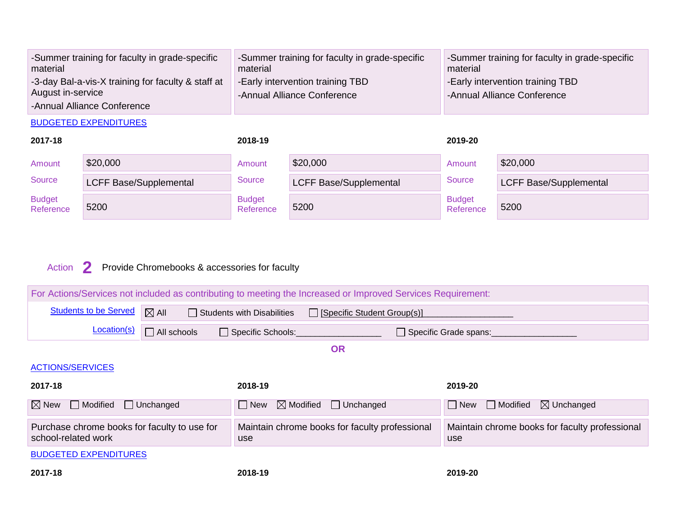| -Summer training for faculty in grade-specific<br>material | -Summer training for faculty in grade-specific<br>material | -Summer training for faculty in grade-specific<br>material |
|------------------------------------------------------------|------------------------------------------------------------|------------------------------------------------------------|
| -3-day Bal-a-vis-X training for faculty & staff at         | <b>Early intervention training TBD</b>                     | <b>Early intervention training TBD</b>                     |
| August in-service                                          | -Annual Alliance Conference                                | -Annual Alliance Conference                                |
| -Annual Alliance Conference                                |                                                            |                                                            |

BUDGETED EXPENDITURES

| 2017-18                    |                               | 2018-19                    |                               | 2019-20                    |                               |
|----------------------------|-------------------------------|----------------------------|-------------------------------|----------------------------|-------------------------------|
| Amount                     | \$20,000                      | Amount                     | \$20,000                      | Amount                     | \$20,000                      |
| Source                     | <b>LCFF Base/Supplemental</b> | Source                     | <b>LCFF Base/Supplemental</b> | Source                     | <b>LCFF Base/Supplemental</b> |
| <b>Budget</b><br>Reference | 5200                          | <b>Budget</b><br>Reference | 5200                          | <b>Budget</b><br>Reference | 5200                          |

### Action **2** Provide Chromebooks & accessories for faculty

| For Actions/Services not included as contributing to meeting the Increased or Improved Services Requirement: |                                                                  |                                                                         |         |                                                        |  |  |
|--------------------------------------------------------------------------------------------------------------|------------------------------------------------------------------|-------------------------------------------------------------------------|---------|--------------------------------------------------------|--|--|
| <b>Students to be Served</b>                                                                                 | $\boxtimes$ All                                                  | $\Box$ Students with Disabilities<br>$\Box$ [Specific Student Group(s)] |         |                                                        |  |  |
| Location(s)                                                                                                  | $\Box$ All schools<br>Specific Schools:<br>Specific Grade spans: |                                                                         |         |                                                        |  |  |
|                                                                                                              |                                                                  | <b>OR</b>                                                               |         |                                                        |  |  |
| <b>ACTIONS/SERVICES</b>                                                                                      |                                                                  |                                                                         |         |                                                        |  |  |
| 2017-18                                                                                                      |                                                                  | 2018-19                                                                 |         | 2019-20                                                |  |  |
| $\boxtimes$ New<br>$\Box$ Modified<br>$\Box$ Unchanged                                                       |                                                                  | $\boxtimes$ Modified<br>$\Box$ Unchanged<br>$\Box$ New                  |         | $\Box$ Modified<br>$\boxtimes$ Unchanged<br>$\Box$ New |  |  |
| Purchase chrome books for faculty to use for<br>school-related work                                          |                                                                  | Maintain chrome books for faculty professional<br>use                   |         | Maintain chrome books for faculty professional<br>use  |  |  |
| <b>BUDGETED EXPENDITURES</b>                                                                                 |                                                                  |                                                                         |         |                                                        |  |  |
| 2017-18                                                                                                      |                                                                  | 2018-19                                                                 | 2019-20 |                                                        |  |  |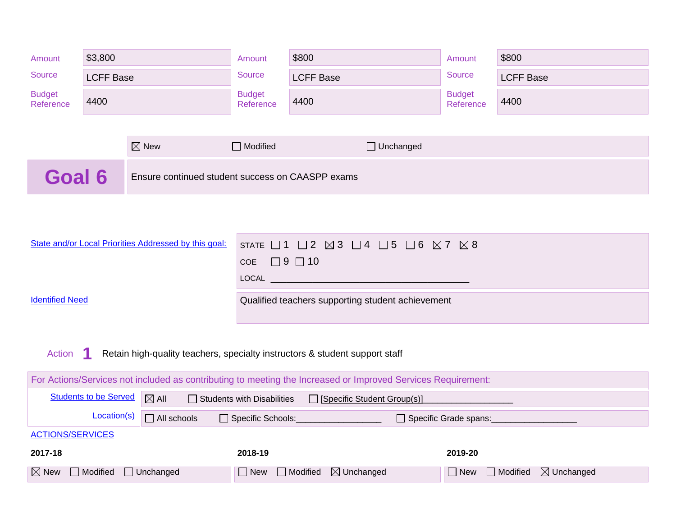| Amount                                                                                                       | \$3,800                                                                                                               |                                                       | Amount                     | \$800                                                                                        | Amount                     | \$800            |
|--------------------------------------------------------------------------------------------------------------|-----------------------------------------------------------------------------------------------------------------------|-------------------------------------------------------|----------------------------|----------------------------------------------------------------------------------------------|----------------------------|------------------|
| <b>Source</b>                                                                                                | <b>LCFF Base</b>                                                                                                      |                                                       | Source                     | <b>LCFF Base</b>                                                                             | Source                     | <b>LCFF Base</b> |
| <b>Budget</b><br>Reference                                                                                   | 4400                                                                                                                  |                                                       | <b>Budget</b><br>Reference | 4400                                                                                         | <b>Budget</b><br>Reference | 4400             |
|                                                                                                              |                                                                                                                       |                                                       |                            |                                                                                              |                            |                  |
|                                                                                                              |                                                                                                                       | $\boxtimes$ New                                       | $\Box$ Modified            | □ Unchanged                                                                                  |                            |                  |
| Goal 6                                                                                                       |                                                                                                                       | Ensure continued student success on CAASPP exams      |                            |                                                                                              |                            |                  |
|                                                                                                              |                                                                                                                       |                                                       |                            |                                                                                              |                            |                  |
|                                                                                                              |                                                                                                                       | State and/or Local Priorities Addressed by this goal: |                            |                                                                                              |                            |                  |
|                                                                                                              |                                                                                                                       |                                                       | COE $\Box$ 9 $\Box$ 10     | STATE $\Box$ 1 $\Box$ 2 $\boxtimes$ 3 $\Box$ 4 $\Box$ 5 $\Box$ 6 $\boxtimes$ 7 $\boxtimes$ 8 |                            |                  |
|                                                                                                              |                                                                                                                       |                                                       |                            |                                                                                              |                            |                  |
| <b>Identified Need</b>                                                                                       |                                                                                                                       |                                                       |                            | Qualified teachers supporting student achievement                                            |                            |                  |
|                                                                                                              |                                                                                                                       |                                                       |                            |                                                                                              |                            |                  |
|                                                                                                              |                                                                                                                       |                                                       |                            |                                                                                              |                            |                  |
| Action<br>Retain high-quality teachers, specialty instructors & student support staff                        |                                                                                                                       |                                                       |                            |                                                                                              |                            |                  |
| For Actions/Services not included as contributing to meeting the Increased or Improved Services Requirement: |                                                                                                                       |                                                       |                            |                                                                                              |                            |                  |
|                                                                                                              | <b>Students to be Served</b><br>$\boxtimes$ All<br>$\Box$ Students with Disabilities<br>□ [Specific Student Group(s)] |                                                       |                            |                                                                                              |                            |                  |
|                                                                                                              | Location(s)                                                                                                           | $\Box$ All schools                                    | Specific Schools:          |                                                                                              | Specific Grade spans:      |                  |
| <b>ACTIONS/SERVICES</b>                                                                                      |                                                                                                                       |                                                       |                            |                                                                                              |                            |                  |

| 2017-18                                                                                | 2018-19                                          | 2019-20                                                    |
|----------------------------------------------------------------------------------------|--------------------------------------------------|------------------------------------------------------------|
| $\boxed{\boxtimes}$ New $\boxed{\phantom{a}}$ Modified $\boxed{\phantom{a}}$ Unchanged | $\Box$ New $\Box$ Modified $\boxtimes$ Unchanged | $\Box$ New $\Box$<br>$\Box$ Modified $\boxtimes$ Unchanged |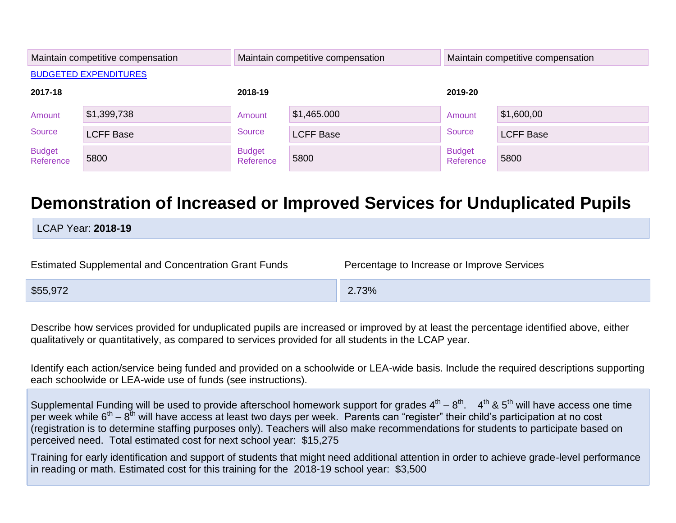|                            | Maintain competitive compensation | Maintain competitive compensation |                  | Maintain competitive compensation |                  |
|----------------------------|-----------------------------------|-----------------------------------|------------------|-----------------------------------|------------------|
|                            | <b>BUDGETED EXPENDITURES</b>      |                                   |                  |                                   |                  |
| 2017-18                    |                                   | 2018-19                           |                  | 2019-20                           |                  |
| Amount                     | \$1,399,738                       | Amount                            | \$1,465.000      | Amount                            | \$1,600,00       |
| Source                     | <b>LCFF Base</b>                  | Source                            | <b>LCFF Base</b> | Source                            | <b>LCFF Base</b> |
| <b>Budget</b><br>Reference | 5800                              | <b>Budget</b><br>Reference        | 5800             | <b>Budget</b><br>Reference        | 5800             |

# **Demonstration of Increased or Improved Services for Unduplicated Pupils**

LCAP Year: **2018-19**

| Estimated Supplemental and Concentration Grant Funds | Percentage to Increase or Improve Services |
|------------------------------------------------------|--------------------------------------------|
| \$55,972                                             | 2.73%                                      |

Describe how services provided for unduplicated pupils are increased or improved by at least the percentage identified above, either qualitatively or quantitatively, as compared to services provided for all students in the LCAP year.

Identify each action/service being funded and provided on a schoolwide or LEA-wide basis. Include the required descriptions supporting each schoolwide or LEA-wide use of funds (see instructions).

Supplemental Funding will be used to provide afterschool homework support for grades  $4^{\text{th}} - 8^{\text{th}}$ .  $4^{\text{th}}$  & 5<sup>th</sup> will have access one time per week while  $6^{th} - 8^{th}$  will have access at least two days per week. Parents can "register" their child's participation at no cost (registration is to determine staffing purposes only). Teachers will also make recommendations for students to participate based on perceived need. Total estimated cost for next school year: \$15,275

Training for early identification and support of students that might need additional attention in order to achieve grade-level performance in reading or math. Estimated cost for this training for the 2018-19 school year: \$3,500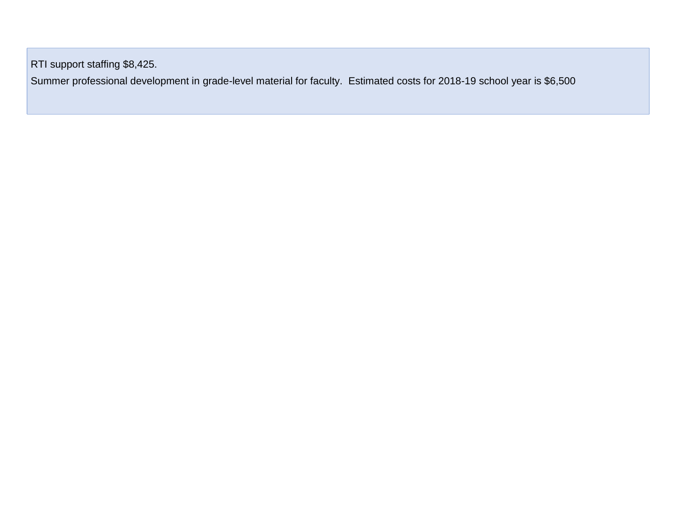RTI support staffing \$8,425.

Summer professional development in grade-level material for faculty. Estimated costs for 2018-19 school year is \$6,500